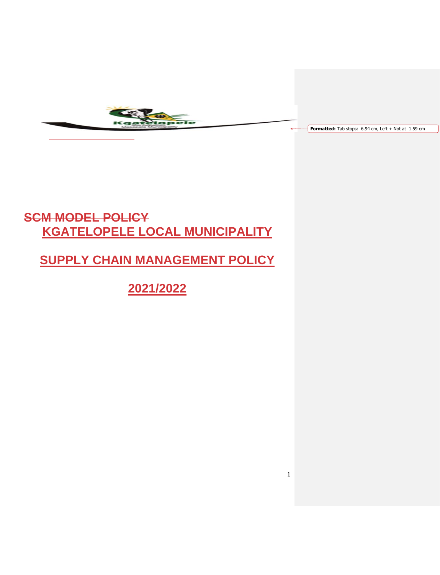

**Formatted:** Tab stops: 6.94 cm, Left + Not at 1.59 cm

1

# **SCM MODEL POLICY KGATELOPELE LOCAL MUNICIPALITY**

**SUPPLY CHAIN MANAGEMENT POLICY**

**2021/2022**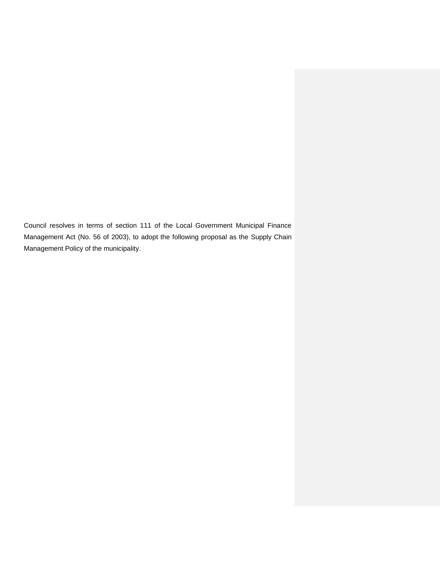Council resolves in terms of section 111 of the Local Government Municipal Finance Management Act (No. 56 of 2003), to adopt the following proposal as the Supply Chain Management Policy of the municipality.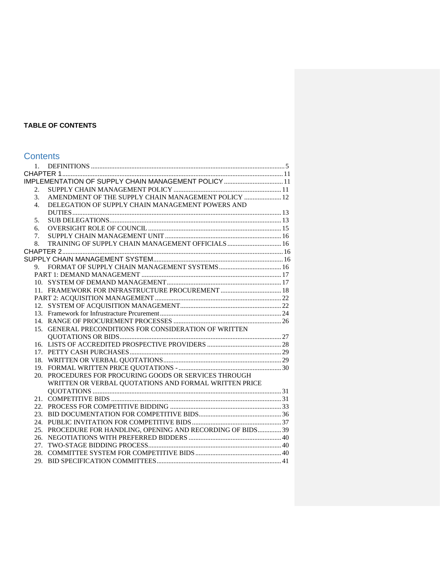# **TABLE OF CONTENTS**

# **Contents**

| 1. |                                                              |  |
|----|--------------------------------------------------------------|--|
|    |                                                              |  |
|    | IMPLEMENTATION OF SUPPLY CHAIN MANAGEMENT POLICY  11         |  |
| 2. |                                                              |  |
| 3. | AMENDMENT OF THE SUPPLY CHAIN MANAGEMENT POLICY  12          |  |
| 4. | DELEGATION OF SUPPLY CHAIN MANAGEMENT POWERS AND             |  |
|    |                                                              |  |
| 5. |                                                              |  |
| б. |                                                              |  |
| 7. |                                                              |  |
| 8. | TRAINING OF SUPPLY CHAIN MANAGEMENT OFFICIALS  16            |  |
|    |                                                              |  |
|    |                                                              |  |
|    |                                                              |  |
|    |                                                              |  |
|    |                                                              |  |
|    | 11. FRAMEWORK FOR INFRASTRUCTURE PROCUREMENT  18             |  |
|    |                                                              |  |
|    |                                                              |  |
|    |                                                              |  |
|    |                                                              |  |
|    | 15. GENERAL PRECONDITIONS FOR CONSIDERATION OF WRITTEN       |  |
|    |                                                              |  |
|    |                                                              |  |
|    |                                                              |  |
|    |                                                              |  |
|    |                                                              |  |
|    | 20. PROCEDURES FOR PROCURING GOODS OR SERVICES THROUGH       |  |
|    | WRITTEN OR VERBAL QUOTATIONS AND FORMAL WRITTEN PRICE        |  |
|    |                                                              |  |
|    |                                                              |  |
|    |                                                              |  |
|    |                                                              |  |
|    |                                                              |  |
|    | 25. PROCEDURE FOR HANDLING, OPENING AND RECORDING OF BIDS 39 |  |
|    |                                                              |  |
|    |                                                              |  |
|    |                                                              |  |
|    |                                                              |  |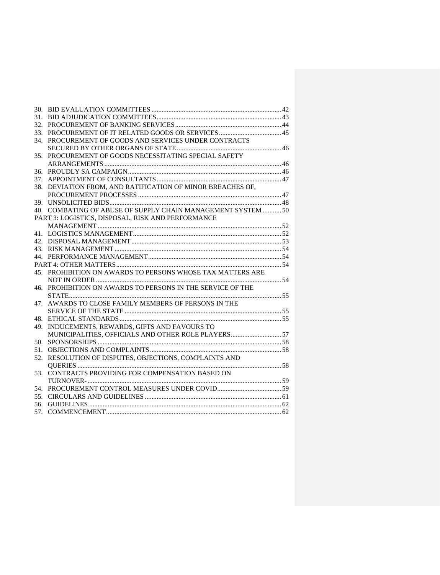| 31. |                                                             |  |
|-----|-------------------------------------------------------------|--|
| 32. |                                                             |  |
| 33. |                                                             |  |
| 34. | PROCUREMENT OF GOODS AND SERVICES UNDER CONTRACTS           |  |
|     |                                                             |  |
| 35. | PROCUREMENT OF GOODS NECESSITATING SPECIAL SAFETY           |  |
|     |                                                             |  |
| 36. |                                                             |  |
| 37. |                                                             |  |
|     | 38. DEVIATION FROM, AND RATIFICATION OF MINOR BREACHES OF,  |  |
|     |                                                             |  |
| 39. |                                                             |  |
|     | 40. COMBATING OF ABUSE OF SUPPLY CHAIN MANAGEMENT SYSTEM 50 |  |
|     | PART 3: LOGISTICS. DISPOSAL. RISK AND PERFORMANCE           |  |
|     |                                                             |  |
|     |                                                             |  |
|     |                                                             |  |
|     |                                                             |  |
|     |                                                             |  |
|     |                                                             |  |
|     | 45. PROHIBITION ON AWARDS TO PERSONS WHOSE TAX MATTERS ARE  |  |
|     |                                                             |  |
| 46. | PROHIBITION ON AWARDS TO PERSONS IN THE SERVICE OF THE      |  |
|     |                                                             |  |
| 47. | AWARDS TO CLOSE FAMILY MEMBERS OF PERSONS IN THE            |  |
|     |                                                             |  |
| 48. |                                                             |  |
| 49. | INDUCEMENTS, REWARDS, GIFTS AND FAVOURS TO                  |  |
|     | MUNICIPALITIES, OFFICIALS AND OTHER ROLE PLAYERS 57         |  |
| 50. |                                                             |  |
| 51. |                                                             |  |
| 52. | RESOLUTION OF DISPUTES, OBJECTIONS, COMPLAINTS AND          |  |
|     |                                                             |  |
| 53. | CONTRACTS PROVIDING FOR COMPENSATION BASED ON               |  |
|     |                                                             |  |
| 54. |                                                             |  |
| 55. |                                                             |  |
| 56. |                                                             |  |
| 57. |                                                             |  |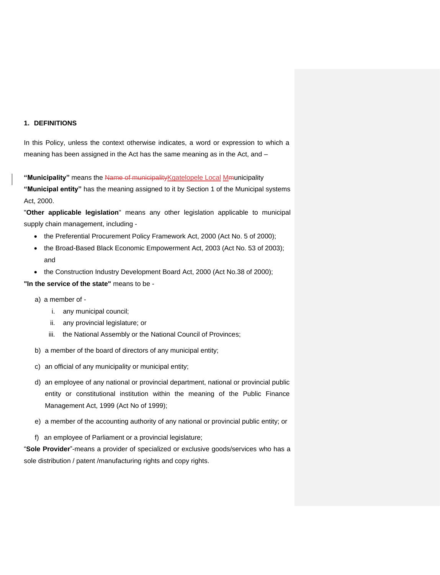## <span id="page-4-0"></span>**1. DEFINITIONS**

In this Policy, unless the context otherwise indicates, a word or expression to which a meaning has been assigned in the Act has the same meaning as in the Act, and –

**"Municipality"** means the Name of municipalityKgatelopele Local Mmunicipality **"Municipal entity"** has the meaning assigned to it by Section 1 of the Municipal systems Act, 2000.

"**Other applicable legislation**" means any other legislation applicable to municipal supply chain management, including -

- the Preferential Procurement Policy Framework Act, 2000 (Act No. 5 of 2000);
- the Broad-Based Black Economic Empowerment Act, 2003 (Act No. 53 of 2003); and
- the Construction Industry Development Board Act, 2000 (Act No.38 of 2000);

## **"In the service of the state"** means to be -

- a) a member of
	- i. any municipal council;
	- ii. any provincial legislature; or
	- iii. the National Assembly or the National Council of Provinces;
- b) a member of the board of directors of any municipal entity;
- c) an official of any municipality or municipal entity;
- d) an employee of any national or provincial department, national or provincial public entity or constitutional institution within the meaning of the Public Finance Management Act, 1999 (Act No of 1999);
- e) a member of the accounting authority of any national or provincial public entity; or
- f) an employee of Parliament or a provincial legislature;

"**Sole Provider**"-means a provider of specialized or exclusive goods/services who has a sole distribution / patent /manufacturing rights and copy rights.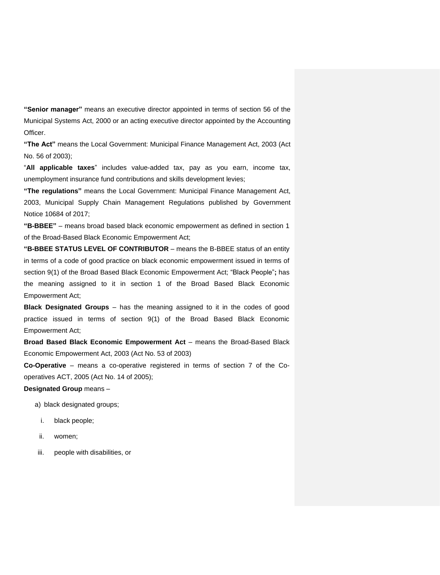**"Senior manager"** means an executive director appointed in terms of section 56 of the Municipal Systems Act, 2000 or an acting executive director appointed by the Accounting Officer.

**"The Act"** means the Local Government: Municipal Finance Management Act, 2003 (Act No. 56 of 2003);

"**All applicable taxes**" includes value-added tax, pay as you earn, income tax, unemployment insurance fund contributions and skills development levies;

**"The regulations"** means the Local Government: Municipal Finance Management Act, 2003, Municipal Supply Chain Management Regulations published by Government Notice 10684 of 2017;

**"B-BBEE"** – means broad based black economic empowerment as defined in section 1 of the Broad-Based Black Economic Empowerment Act;

**"B-BBEE STATUS LEVEL OF CONTRIBUTOR** – means the B-BBEE status of an entity in terms of a code of good practice on black economic empowerment issued in terms of section 9(1) of the Broad Based Black Economic Empowerment Act; "Black People"**;** has the meaning assigned to it in section 1 of the Broad Based Black Economic Empowerment Act;

**Black Designated Groups** – has the meaning assigned to it in the codes of good practice issued in terms of section 9(1) of the Broad Based Black Economic Empowerment Act;

**Broad Based Black Economic Empowerment Act** – means the Broad-Based Black Economic Empowerment Act, 2003 (Act No. 53 of 2003)

**Co-Operative** – means a co-operative registered in terms of section 7 of the Cooperatives ACT, 2005 (Act No. 14 of 2005);

**Designated Group** means –

- a) black designated groups;
	- i. black people;
- ii. women;
- iii. people with disabilities, or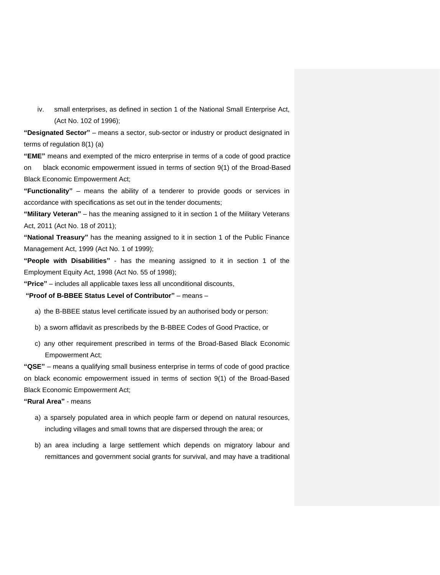iv. small enterprises, as defined in section 1 of the National Small Enterprise Act, (Act No. 102 of 1996);

**"Designated Sector"** – means a sector, sub-sector or industry or product designated in terms of regulation 8(1) (a)

**"EME"** means and exempted of the micro enterprise in terms of a code of good practice on black economic empowerment issued in terms of section 9(1) of the Broad-Based Black Economic Empowerment Act;

**"Functionality"** – means the ability of a tenderer to provide goods or services in accordance with specifications as set out in the tender documents;

**"Military Veteran"** – has the meaning assigned to it in section 1 of the Military Veterans Act, 2011 (Act No. 18 of 2011);

**"National Treasury"** has the meaning assigned to it in section 1 of the Public Finance Management Act, 1999 (Act No. 1 of 1999);

**"People with Disabilities"** - has the meaning assigned to it in section 1 of the Employment Equity Act, 1998 (Act No. 55 of 1998);

**"Price"** – includes all applicable taxes less all unconditional discounts,

## **"Proof of B-BBEE Status Level of Contributor"** – means –

- a) the B-BBEE status level certificate issued by an authorised body or person:
- b) a sworn affidavit as prescribeds by the B-BBEE Codes of Good Practice, or
- c) any other requirement prescribed in terms of the Broad-Based Black Economic Empowerment Act;

**"QSE"** – means a qualifying small business enterprise in terms of code of good practice on black economic empowerment issued in terms of section 9(1) of the Broad-Based Black Economic Empowerment Act;

**"Rural Area"** - means

- a) a sparsely populated area in which people farm or depend on natural resources, including villages and small towns that are dispersed through the area; or
- b) an area including a large settlement which depends on migratory labour and remittances and government social grants for survival, and may have a traditional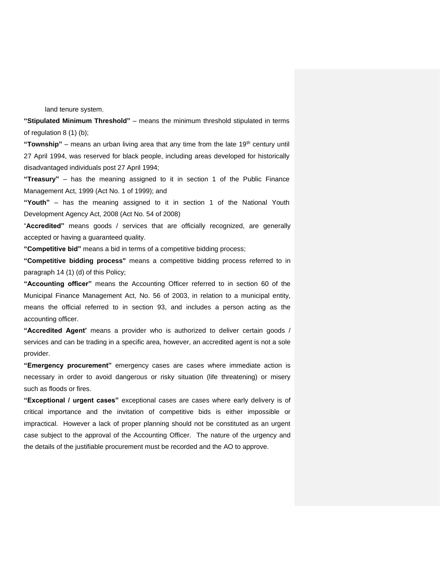land tenure system.

**"Stipulated Minimum Threshold"** – means the minimum threshold stipulated in terms of regulation 8 (1) (b);

"Township" – means an urban living area that any time from the late 19<sup>th</sup> century until 27 April 1994, was reserved for black people, including areas developed for historically disadvantaged individuals post 27 April 1994;

**"Treasury"** – has the meaning assigned to it in section 1 of the Public Finance Management Act, 1999 (Act No. 1 of 1999); and

**"Youth"** – has the meaning assigned to it in section 1 of the National Youth Development Agency Act, 2008 (Act No. 54 of 2008)

"**Accredited"** means goods / services that are officially recognized, are generally accepted or having a guaranteed quality.

**"Competitive bid"** means a bid in terms of a competitive bidding process;

**"Competitive bidding process"** means a competitive bidding process referred to in paragraph 14 (1) (d) of this Policy;

**"Accounting officer"** means the Accounting Officer referred to in section 60 of the Municipal Finance Management Act, No. 56 of 2003, in relation to a municipal entity, means the official referred to in section 93, and includes a person acting as the accounting officer.

**"Accredited Agent'** means a provider who is authorized to deliver certain goods / services and can be trading in a specific area, however, an accredited agent is not a sole provider.

**"Emergency procurement"** emergency cases are cases where immediate action is necessary in order to avoid dangerous or risky situation (life threatening) or misery such as floods or fires.

**"Exceptional / urgent cases"** exceptional cases are cases where early delivery is of critical importance and the invitation of competitive bids is either impossible or impractical. However a lack of proper planning should not be constituted as an urgent case subject to the approval of the Accounting Officer. The nature of the urgency and the details of the justifiable procurement must be recorded and the AO to approve.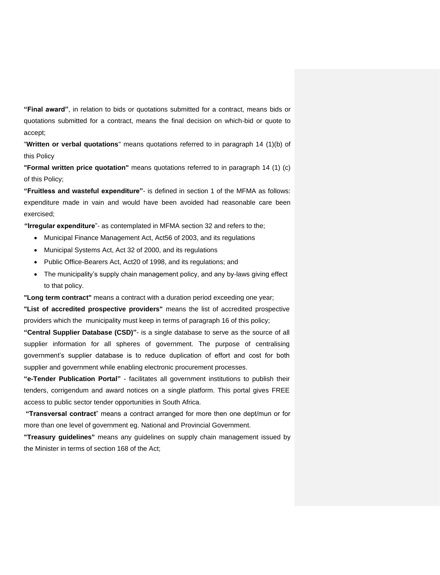**"Final award"**, in relation to bids or quotations submitted for a contract, means bids or quotations submitted for a contract, means the final decision on which-bid or quote to accept;

"**Written or verbal quotations**" means quotations referred to in paragraph 14 (1)(b) of this Policy

**"Formal written price quotation"** means quotations referred to in paragraph 14 (1) (c) of this Policy;

**"Fruitless and wasteful expenditure"**- is defined in section 1 of the MFMA as follows: expenditure made in vain and would have been avoided had reasonable care been exercised;

**"Irregular expenditure**"- as contemplated in MFMA section 32 and refers to the;

- Municipal Finance Management Act, Act56 of 2003, and its regulations
- Municipal Systems Act, Act 32 of 2000, and its regulations
- Public Office-Bearers Act, Act20 of 1998, and its regulations; and
- The municipality's supply chain management policy, and any by-laws giving effect to that policy.

**"Long term contract"** means a contract with a duration period exceeding one year;

**"List of accredited prospective providers"** means the list of accredited prospective providers which the municipality must keep in terms of paragraph 16 of this policy;

**"Central Supplier Database (CSD)"**- is a single database to serve as the source of all supplier information for all spheres of government. The purpose of centralising government's supplier database is to reduce duplication of effort and cost for both supplier and government while enabling electronic procurement processes.

**"e-Tender Publication Portal"** - facilitates all government institutions to publish their tenders, corrigendum and award notices on a single platform. This portal gives FREE access to public sector tender opportunities in South Africa.

**"Transversal contract**" means a contract arranged for more then one dept/mun or for more than one level of government eg. National and Provincial Government.

**"Treasury guidelines"** means any guidelines on supply chain management issued by the Minister in terms of section 168 of the Act;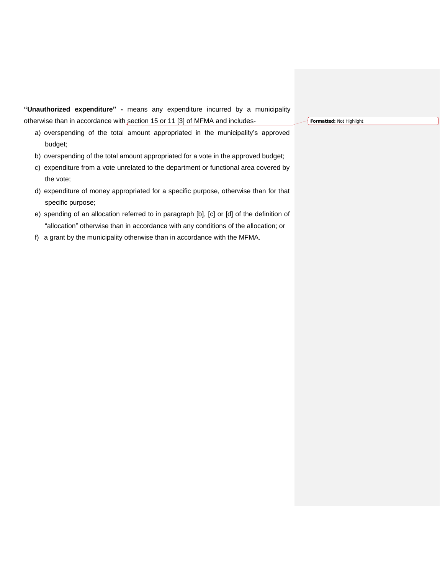**"Unauthorized expenditure" -** means any expenditure incurred by a municipality otherwise than in accordance with section 15 or 11 [3] of MFMA and includes-

a) overspending of the total amount appropriated in the municipality's approved budget;

- b) overspending of the total amount appropriated for a vote in the approved budget;
- c) expenditure from a vote unrelated to the department or functional area covered by the vote;
- d) expenditure of money appropriated for a specific purpose, otherwise than for that specific purpose;
- e) spending of an allocation referred to in paragraph [b], [c] or [d] of the definition of "allocation" otherwise than in accordance with any conditions of the allocation; or
- f) a grant by the municipality otherwise than in accordance with the MFMA.

**Formatted:** Not Highlight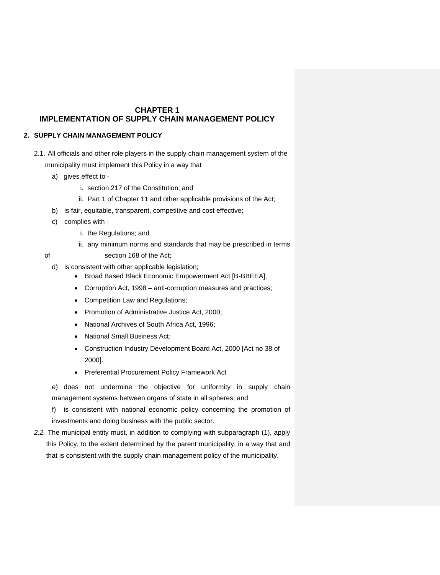# <span id="page-10-0"></span>**CHAPTER 1 IMPLEMENTATION OF SUPPLY CHAIN MANAGEMENT POLICY**

## <span id="page-10-2"></span><span id="page-10-1"></span>**2. SUPPLY CHAIN MANAGEMENT POLICY**

- 2.1. All officials and other role players in the supply chain management system of the municipality must implement this Policy in a way that
	- a) gives effect to
		- i. section 217 of the Constitution; and
		- ii. Part 1 of Chapter 11 and other applicable provisions of the Act;
	- b) is fair, equitable, transparent, competitive and cost effective;
	- c) complies with
		- i. the Regulations; and
		- ii. any minimum norms and standards that may be prescribed in terms
	- of section 168 of the Act;

d) is consistent with other applicable legislation;

- Broad Based Black Economic Empowerment Act [B-BBEEA];
- Corruption Act, 1998 anti-corruption measures and practices;
- Competition Law and Regulations;
- Promotion of Administrative Justice Act, 2000;
- National Archives of South Africa Act, 1996;
- National Small Business Act;
- Construction Industry Development Board Act, 2000 [Act no 38 of 2000].
- Preferential Procurement Policy Framework Act

e) does not undermine the objective for uniformity in supply chain management systems between organs of state in all spheres; and

f) is consistent with national economic policy concerning the promotion of investments and doing business with the public sector.

*2.2.* The municipal entity must, in addition to complying with subparagraph (1), apply this Policy, to the extent determined by the parent municipality, in a way that and that is consistent with the supply chain management policy of the municipality.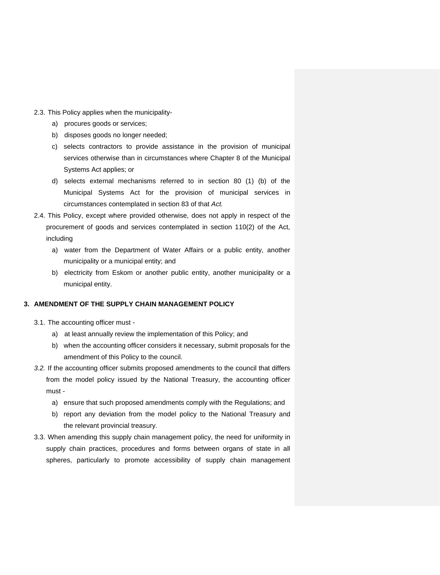- 2.3. This Policy applies when the municipality
	- a) procures goods or services;
	- b) disposes goods no longer needed;
	- c) selects contractors to provide assistance in the provision of municipal services otherwise than in circumstances where Chapter 8 of the Municipal Systems Act applies; or
	- d) selects external mechanisms referred to in section 80 (1) (b) of the Municipal Systems Act for the provision of municipal services in circumstances contemplated in section 83 of that *Act.*
- 2.4. This Policy, except where provided otherwise, does not apply in respect of the procurement of goods and services contemplated in section 110(2) of the Act, including
	- a) water from the Department of Water Affairs or a public entity, another municipality or a municipal entity; and
	- b) electricity from Eskom or another public entity, another municipality or a municipal entity.

# <span id="page-11-0"></span>**3. AMENDMENT OF THE SUPPLY CHAIN MANAGEMENT POLICY**

- 3.1. The accounting officer must
	- a) at least annually review the implementation of this Policy; and
	- b) when the accounting officer considers it necessary, submit proposals for the amendment of this Policy to the council.
- *3.2.* If the accounting officer submits proposed amendments to the council that differs from the model policy issued by the National Treasury, the accounting officer must
	- a) ensure that such proposed amendments comply with the Regulations; and
	- b) report any deviation from the model policy to the National Treasury and the relevant provincial treasury.
- 3.3. When amending this supply chain management policy, the need for uniformity in supply chain practices, procedures and forms between organs of state in all spheres, particularly to promote accessibility of supply chain management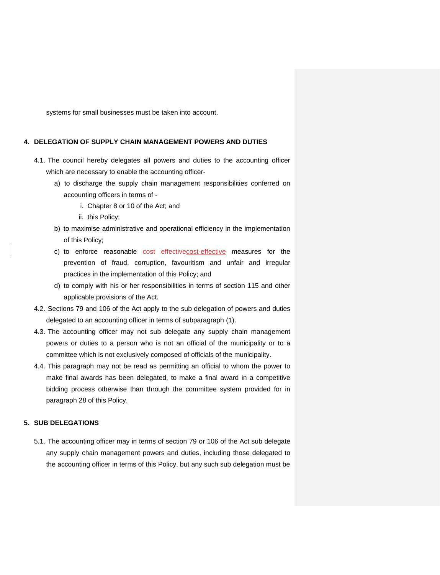systems for small businesses must be taken into account.

## <span id="page-12-0"></span>**4. DELEGATION OF SUPPLY CHAIN MANAGEMENT POWERS AND DUTIES**

- 4.1. The council hereby delegates all powers and duties to the accounting officer which are necessary to enable the accounting officer
	- a) to discharge the supply chain management responsibilities conferred on accounting officers in terms of
		- i. Chapter 8 or 10 of the Act; and
		- ii. this Policy;
	- b) to maximise administrative and operational efficiency in the implementation of this Policy;
	- c) to enforce reasonable cost effectivecost-effective measures for the prevention of fraud, corruption, favouritism and unfair and irregular practices in the implementation of this Policy; and
	- d) to comply with his or her responsibilities in terms of section 115 and other applicable provisions of the Act.
- 4.2. Sections 79 and 106 of the Act apply to the sub delegation of powers and duties delegated to an accounting officer in terms of subparagraph (1).
- 4.3. The accounting officer may not sub delegate any supply chain management powers or duties to a person who is not an official of the municipality or to a committee which is not exclusively composed of officials of the municipality.
- 4.4. This paragraph may not be read as permitting an official to whom the power to make final awards has been delegated, to make a final award in a competitive bidding process otherwise than through the committee system provided for in paragraph 28 of this Policy.

## <span id="page-12-1"></span>**5. SUB DELEGATIONS**

5.1. The accounting officer may in terms of section 79 or 106 of the Act sub delegate any supply chain management powers and duties, including those delegated to the accounting officer in terms of this Policy, but any such sub delegation must be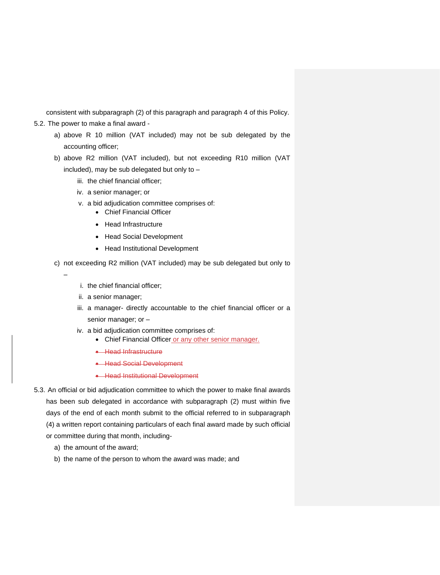consistent with subparagraph (2) of this paragraph and paragraph 4 of this Policy.

- 5.2. The power to make a final award
	- a) above R 10 million (VAT included) may not be sub delegated by the accounting officer;
	- b) above R2 million (VAT included), but not exceeding R10 million (VAT included), may be sub delegated but only to –
		- iii. the chief financial officer;
		- iv. a senior manager; or
		- v. a bid adjudication committee comprises of:
			- Chief Financial Officer
				- Head Infrastructure
				- Head Social Development
				- Head Institutional Development
	- c) not exceeding R2 million (VAT included) may be sub delegated but only to
		- i. the chief financial officer;
		- ii. a senior manager;

–

- iii. a manager- directly accountable to the chief financial officer or a senior manager; or –
- iv. a bid adjudication committee comprises of:
	- Chief Financial Officer or any other senior manager.
	- Head Infrastructure
	- Head Social Development
	- Head Institutional Development
- 5.3. An official or bid adjudication committee to which the power to make final awards has been sub delegated in accordance with subparagraph (2) must within five days of the end of each month submit to the official referred to in subparagraph (4) a written report containing particulars of each final award made by such official or committee during that month, including
	- a) the amount of the award;
	- b) the name of the person to whom the award was made; and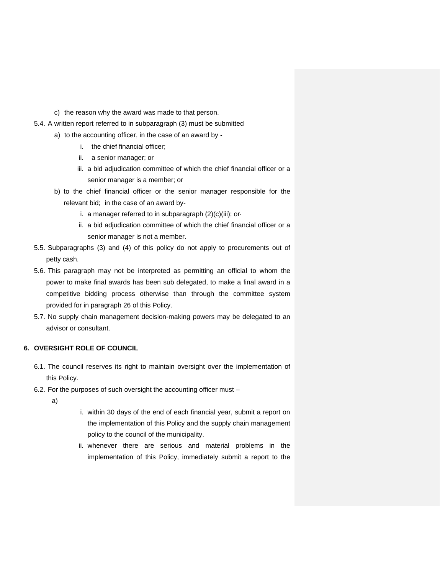- c) the reason why the award was made to that person.
- 5.4. A written report referred to in subparagraph (3) must be submitted
	- a) to the accounting officer, in the case of an award by
		- i. the chief financial officer;
		- ii. a senior manager; or
		- iii. a bid adjudication committee of which the chief financial officer or a senior manager is a member; or
	- b) to the chief financial officer or the senior manager responsible for the relevant bid; in the case of an award by
		- i. a manager referred to in subparagraph (2)(c)(iii); or·
		- ii. a bid adjudication committee of which the chief financial officer or a senior manager is not a member.
- 5.5. Subparagraphs (3) and (4) of this policy do not apply to procurements out of petty cash.
- 5.6. This paragraph may not be interpreted as permitting an official to whom the power to make final awards has been sub delegated, to make a final award in a competitive bidding process otherwise than through the committee system provided for in paragraph 26 of this Policy.
- 5.7. No supply chain management decision-making powers may be delegated to an advisor or consultant.

# <span id="page-14-0"></span>**6. OVERSIGHT ROLE OF COUNCIL**

- 6.1. The council reserves its right to maintain oversight over the implementation of this Policy.
- 6.2. For the purposes of such oversight the accounting officer must
	- a)
- i. within 30 days of the end of each financial year, submit a report on the implementation of this Policy and the supply chain management policy to the council of the municipality.
- ii. whenever there are serious and material problems in the implementation of this Policy, immediately submit a report to the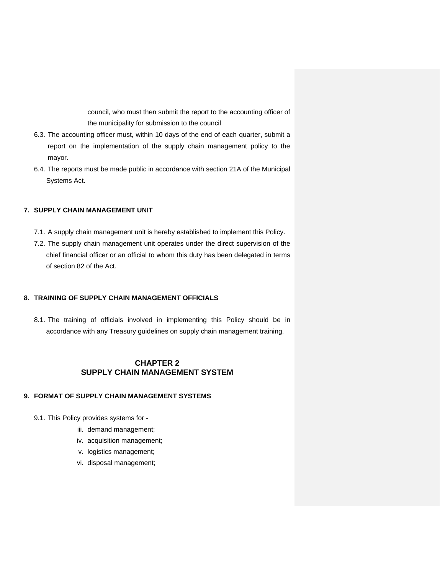council, who must then submit the report to the accounting officer of the municipality for submission to the council

- 6.3. The accounting officer must, within 10 days of the end of each quarter, submit a report on the implementation of the supply chain management policy to the mayor.
- 6.4. The reports must be made public in accordance with section 21A of the Municipal Systems Act.

#### <span id="page-15-0"></span>**7. SUPPLY CHAIN MANAGEMENT UNIT**

- 7.1. A supply chain management unit is hereby established to implement this Policy.
- 7.2. The supply chain management unit operates under the direct supervision of the chief financial officer or an official to whom this duty has been delegated in terms of section 82 of the Act.

## <span id="page-15-1"></span>**8. TRAINING OF SUPPLY CHAIN MANAGEMENT OFFICIALS**

8.1. The training of officials involved in implementing this Policy should be in accordance with any Treasury guidelines on supply chain management training.

# **CHAPTER 2 SUPPLY CHAIN MANAGEMENT SYSTEM**

# <span id="page-15-4"></span><span id="page-15-3"></span><span id="page-15-2"></span>**9. FORMAT OF SUPPLY CHAIN MANAGEMENT SYSTEMS**

- 9.1. This Policy provides systems for
	- iii. demand management;
	- iv. acquisition management;
	- v. logistics management;
	- vi. disposal management;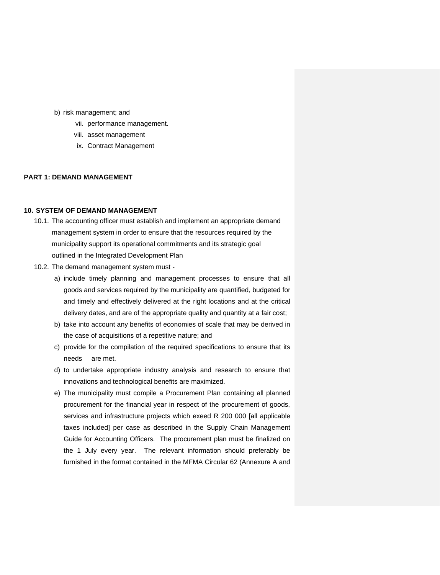- b) risk management; and
	- vii. performance management.
	- viii. asset management
	- ix. Contract Management

# <span id="page-16-0"></span>**PART 1: DEMAND MANAGEMENT**

#### <span id="page-16-1"></span>**10. SYSTEM OF DEMAND MANAGEMENT**

- 10.1. The accounting officer must establish and implement an appropriate demand management system in order to ensure that the resources required by the municipality support its operational commitments and its strategic goal outlined in the Integrated Development Plan
- 10.2. The demand management system must
	- a) include timely planning and management processes to ensure that all goods and services required by the municipality are quantified, budgeted for and timely and effectively delivered at the right locations and at the critical delivery dates, and are of the appropriate quality and quantity at a fair cost;
	- b) take into account any benefits of economies of scale that may be derived in the case of acquisitions of a repetitive nature; and
	- c) provide for the compilation of the required specifications to ensure that its needs are met.
	- d) to undertake appropriate industry analysis and research to ensure that innovations and technological benefits are maximized.
	- e) The municipality must compile a Procurement Plan containing all planned procurement for the financial year in respect of the procurement of goods, services and infrastructure projects which exeed R 200 000 [all applicable taxes included] per case as described in the Supply Chain Management Guide for Accounting Officers. The procurement plan must be finalized on the 1 July every year. The relevant information should preferably be furnished in the format contained in the MFMA Circular 62 (Annexure A and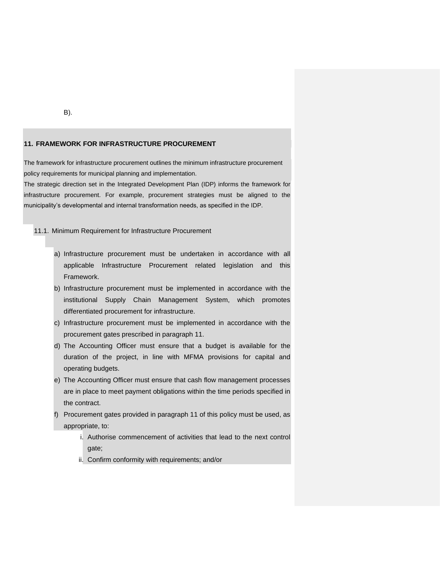#### <span id="page-17-0"></span>**11. FRAMEWORK FOR INFRASTRUCTURE PROCUREMENT**

The framework for infrastructure procurement outlines the minimum infrastructure procurement policy requirements for municipal planning and implementation.

The strategic direction set in the Integrated Development Plan (IDP) informs the framework for infrastructure procurement. For example, procurement strategies must be aligned to the municipality's developmental and internal transformation needs, as specified in the IDP.

#### 11.1. Minimum Requirement for Infrastructure Procurement

- a) Infrastructure procurement must be undertaken in accordance with all applicable Infrastructure Procurement related legislation and this Framework.
- b) Infrastructure procurement must be implemented in accordance with the institutional Supply Chain Management System, which promotes differentiated procurement for infrastructure.
- c) Infrastructure procurement must be implemented in accordance with the procurement gates prescribed in paragraph 11.
- d) The Accounting Officer must ensure that a budget is available for the duration of the project, in line with MFMA provisions for capital and operating budgets.
- e) The Accounting Officer must ensure that cash flow management processes are in place to meet payment obligations within the time periods specified in the contract.
- f) Procurement gates provided in paragraph 11 of this policy must be used, as appropriate, to:
	- i. Authorise commencement of activities that lead to the next control gate;
	- ii. Confirm conformity with requirements; and/or

B).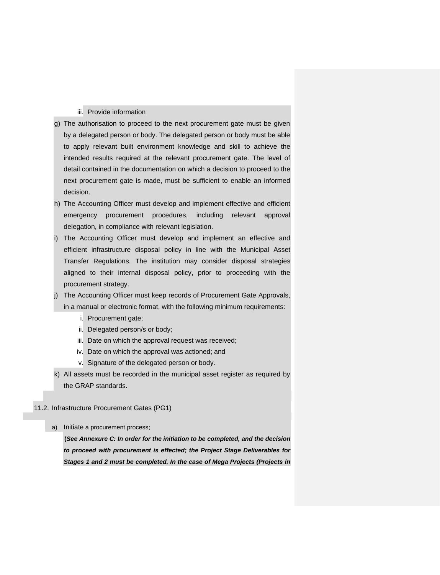## iii. Provide information

- g) The authorisation to proceed to the next procurement gate must be given by a delegated person or body. The delegated person or body must be able to apply relevant built environment knowledge and skill to achieve the intended results required at the relevant procurement gate. The level of detail contained in the documentation on which a decision to proceed to the next procurement gate is made, must be sufficient to enable an informed decision.
- h) The Accounting Officer must develop and implement effective and efficient emergency procurement procedures, including relevant approval delegation, in compliance with relevant legislation.
- i) The Accounting Officer must develop and implement an effective and efficient infrastructure disposal policy in line with the Municipal Asset Transfer Regulations. The institution may consider disposal strategies aligned to their internal disposal policy, prior to proceeding with the procurement strategy.
- j) The Accounting Officer must keep records of Procurement Gate Approvals, in a manual or electronic format, with the following minimum requirements:
	- i. Procurement gate;
	- ii. Delegated person/s or body;
	- iii. Date on which the approval request was received;
	- iv. Date on which the approval was actioned; and
	- v. Signature of the delegated person or body.
- k) All assets must be recorded in the municipal asset register as required by the GRAP standards.

### 11.2. Infrastructure Procurement Gates (PG1)

a) Initiate a procurement process;

**(***See Annexure C: In order for the initiation to be completed, and the decision to proceed with procurement is effected; the Project Stage Deliverables for Stages 1 and 2 must be completed. In the case of Mega Projects (Projects in*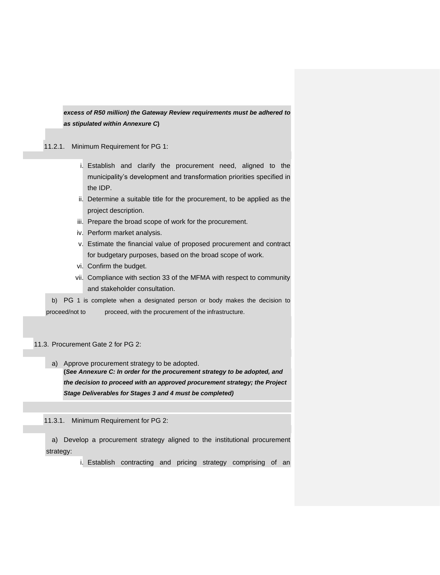*excess of R50 million) the Gateway Review requirements must be adhered to as stipulated within Annexure C***)**

11.2.1. Minimum Requirement for PG 1:

- i. Establish and clarify the procurement need, aligned to the municipality's development and transformation priorities specified in the IDP.
- ii. Determine a suitable title for the procurement, to be applied as the project description.
- iii. Prepare the broad scope of work for the procurement.
- iv. Perform market analysis.
- v. Estimate the financial value of proposed procurement and contract for budgetary purposes, based on the broad scope of work.
- vi. Confirm the budget.
- vii. Compliance with section 33 of the MFMA with respect to community and stakeholder consultation.

b) PG 1 is complete when a designated person or body makes the decision to proceed/not to proceed, with the procurement of the infrastructure.

11.3. Procurement Gate 2 for PG 2:

a) Approve procurement strategy to be adopted. **(***See Annexure C: In order for the procurement strategy to be adopted, and the decision to proceed with an approved procurement strategy; the Project Stage Deliverables for Stages 3 and 4 must be completed)*

11.3.1. Minimum Requirement for PG 2:

a) Develop a procurement strategy aligned to the institutional procurement strategy:

i. Establish contracting and pricing strategy comprising of an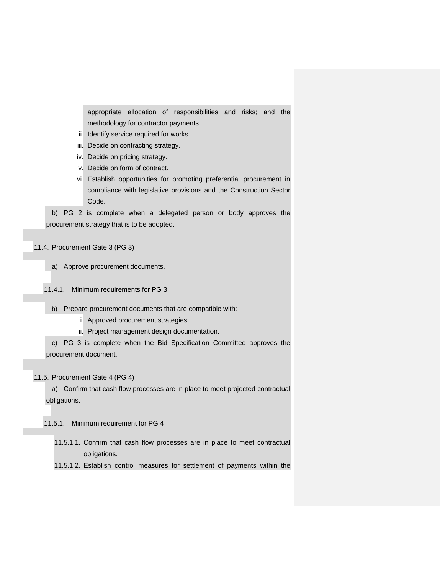appropriate allocation of responsibilities and risks; and the methodology for contractor payments.

- ii. Identify service required for works.
- iii. Decide on contracting strategy.
- iv. Decide on pricing strategy.
- v. Decide on form of contract.
- vi. Establish opportunities for promoting preferential procurement in compliance with legislative provisions and the Construction Sector Code.

b) PG 2 is complete when a delegated person or body approves the procurement strategy that is to be adopted.

- 11.4. Procurement Gate 3 (PG 3)
	- a) Approve procurement documents.
	- 11.4.1. Minimum requirements for PG 3:
		- b) Prepare procurement documents that are compatible with:
			- i. Approved procurement strategies.
			- ii. Project management design documentation.

c) PG 3 is complete when the Bid Specification Committee approves the procurement document.

## 11.5. Procurement Gate 4 (PG 4)

a) Confirm that cash flow processes are in place to meet projected contractual obligations.

11.5.1. Minimum requirement for PG 4

11.5.1.1. Confirm that cash flow processes are in place to meet contractual obligations.

11.5.1.2. Establish control measures for settlement of payments within the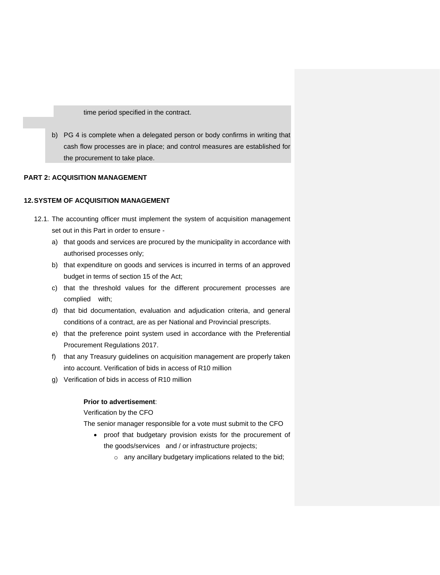time period specified in the contract.

b) PG 4 is complete when a delegated person or body confirms in writing that cash flow processes are in place; and control measures are established for the procurement to take place.

# <span id="page-21-0"></span>**PART 2: ACQUISITION MANAGEMENT**

## <span id="page-21-1"></span>**12.SYSTEM OF ACQUISITION MANAGEMENT**

- 12.1. The accounting officer must implement the system of acquisition management set out in this Part in order to ensure
	- a) that goods and services are procured by the municipality in accordance with authorised processes only;
	- b) that expenditure on goods and services is incurred in terms of an approved budget in terms of section 15 of the Act;
	- c) that the threshold values for the different procurement processes are complied with;
	- d) that bid documentation, evaluation and adjudication criteria, and general conditions of a contract, are as per National and Provincial prescripts.
	- e) that the preference point system used in accordance with the Preferential Procurement Regulations 2017.
	- f) that any Treasury guidelines on acquisition management are properly taken into account. Verification of bids in access of R10 million
	- g) Verification of bids in access of R10 million

## **Prior to advertisement**:

Verification by the CFO

The senior manager responsible for a vote must submit to the CFO

- proof that budgetary provision exists for the procurement of the goods/services and / or infrastructure projects;
	- o any ancillary budgetary implications related to the bid;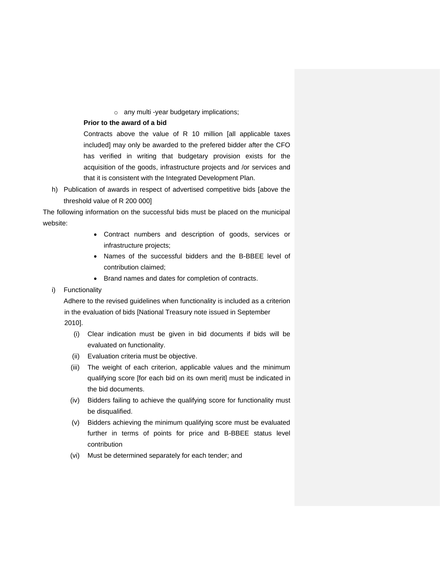o any multi -year budgetary implications;

## **Prior to the award of a bid**

Contracts above the value of R 10 million [all applicable taxes included] may only be awarded to the prefered bidder after the CFO has verified in writing that budgetary provision exists for the acquisition of the goods, infrastructure projects and /or services and that it is consistent with the Integrated Development Plan.

h) Publication of awards in respect of advertised competitive bids [above the threshold value of R 200 000]

The following information on the successful bids must be placed on the municipal website:

- Contract numbers and description of goods, services or infrastructure projects;
- Names of the successful bidders and the B-BBEE level of contribution claimed;
- Brand names and dates for completion of contracts.

## i) Functionality

Adhere to the revised guidelines when functionality is included as a criterion in the evaluation of bids [National Treasury note issued in September 2010].

- (i) Clear indication must be given in bid documents if bids will be evaluated on functionality.
- (ii) Evaluation criteria must be objective.
- (iii) The weight of each criterion, applicable values and the minimum qualifying score [for each bid on its own merit] must be indicated in the bid documents.
- (iv) Bidders failing to achieve the qualifying score for functionality must be disqualified.
- (v) Bidders achieving the minimum qualifying score must be evaluated further in terms of points for price and B-BBEE status level contribution
- (vi) Must be determined separately for each tender; and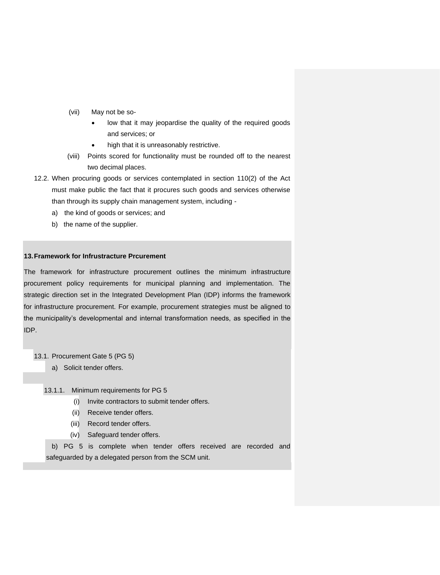- (vii) May not be so
	- low that it may jeopardise the quality of the required goods and services; or
	- high that it is unreasonably restrictive.
- (viii) Points scored for functionality must be rounded off to the nearest two decimal places.
- 12.2. When procuring goods or services contemplated in section 110(2) of the Act must make public the fact that it procures such goods and services otherwise than through its supply chain management system, including
	- a) the kind of goods or services; and
	- b) the name of the supplier.

## <span id="page-23-0"></span>**13.Framework for Infrustracture Prcurement**

The framework for infrastructure procurement outlines the minimum infrastructure procurement policy requirements for municipal planning and implementation. The strategic direction set in the Integrated Development Plan (IDP) informs the framework for infrastructure procurement. For example, procurement strategies must be aligned to the municipality's developmental and internal transformation needs, as specified in the IDP.

- 13.1. Procurement Gate 5 (PG 5)
	- a) Solicit tender offers.
	- 13.1.1. Minimum requirements for PG 5
		- (i) Invite contractors to submit tender offers.
		- (ii) Receive tender offers.
		- (iii) Record tender offers.
		- (iv) Safeguard tender offers.

b) PG 5 is complete when tender offers received are recorded and safeguarded by a delegated person from the SCM unit.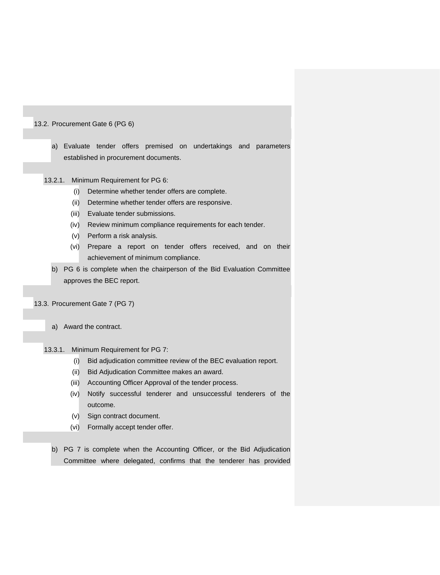## 13.2. Procurement Gate 6 (PG 6)

- a) Evaluate tender offers premised on undertakings and parameters established in procurement documents.
- 13.2.1. Minimum Requirement for PG 6:
	- (i) Determine whether tender offers are complete.
	- (ii) Determine whether tender offers are responsive.
	- (iii) Evaluate tender submissions.
	- (iv) Review minimum compliance requirements for each tender.
	- (v) Perform a risk analysis.
	- (vi) Prepare a report on tender offers received, and on their achievement of minimum compliance.
	- b) PG 6 is complete when the chairperson of the Bid Evaluation Committee approves the BEC report.
- 13.3. Procurement Gate 7 (PG 7)
	- a) Award the contract.
	- 13.3.1. Minimum Requirement for PG 7:
		- (i) Bid adjudication committee review of the BEC evaluation report.
		- (ii) Bid Adjudication Committee makes an award.
		- (iii) Accounting Officer Approval of the tender process.
		- (iv) Notify successful tenderer and unsuccessful tenderers of the outcome.
		- (v) Sign contract document.
		- (vi) Formally accept tender offer.
		- b) PG 7 is complete when the Accounting Officer, or the Bid Adjudication Committee where delegated, confirms that the tenderer has provided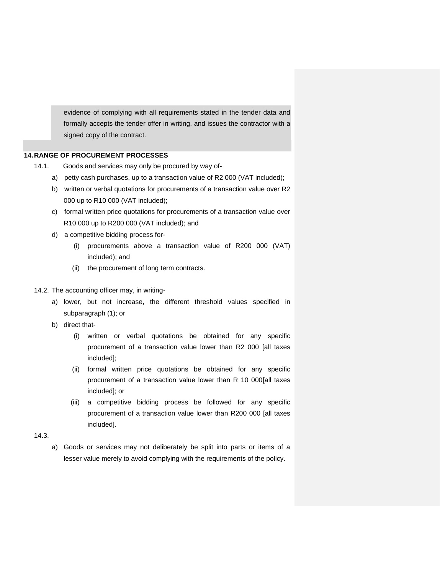evidence of complying with all requirements stated in the tender data and formally accepts the tender offer in writing, and issues the contractor with a signed copy of the contract.

## <span id="page-25-0"></span>**14.RANGE OF PROCUREMENT PROCESSES**

- 14.1. Goods and services may only be procured by way of
	- a) petty cash purchases, up to a transaction value of R2 000 (VAT included);
	- b) written or verbal quotations for procurements of a transaction value over R2 000 up to R10 000 (VAT included);
	- c) formal written price quotations for procurements of a transaction value over R10 000 up to R200 000 (VAT included); and
	- d) a competitive bidding process for-
		- (i) procurements above a transaction value of R200 000 (VAT) included); and
		- (ii) the procurement of long term contracts.

#### 14.2. The accounting officer may, in writing-

- a) lower, but not increase, the different threshold values specified in subparagraph (1); or
- b) direct that-
	- (i) written or verbal quotations be obtained for any specific procurement of a transaction value lower than R2 000 [all taxes included];
	- (ii) formal written price quotations be obtained for any specific procurement of a transaction value lower than R 10 000[all taxes included]; or
	- (iii) a competitive bidding process be followed for any specific procurement of a transaction value lower than R200 000 [all taxes included].

## 14.3.

a) Goods or services may not deliberately be split into parts or items of a lesser value merely to avoid complying with the requirements of the policy.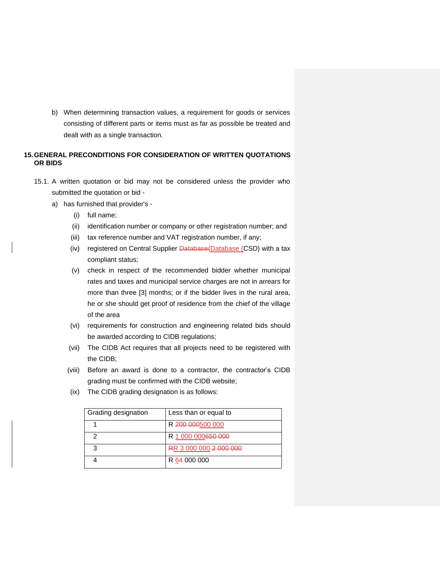b) When determining transaction values, a requirement for goods or services consisting of different parts or items must as far as possible be treated and dealt with as a single transaction.

# <span id="page-26-0"></span>**15.GENERAL PRECONDITIONS FOR CONSIDERATION OF WRITTEN QUOTATIONS OR BIDS**

- 15.1. A written quotation or bid may not be considered unless the provider who submitted the quotation or bid
	- a) has furnished that provider's
		- (i) full name;
		- (ii) identification number or company or other registration number; and
		- (iii) tax reference number and VAT registration number, if any;
		- (iv) registered on Central Supplier Database(Database (CSD) with a tax compliant status;
		- (v) check in respect of the recommended bidder whether municipal rates and taxes and municipal service charges are not in arrears for more than three [3] months; or if the bidder lives in the rural area, he or she should get proof of residence from the chief of the village of the area
		- (vi) requirements for construction and engineering related bids should be awarded according to CIDB regulations;
		- (vii) The CIDB Act requires that all projects need to be registered with the CIDB;
		- (viii) Before an award is done to a contractor, the contractor's CIDB grading must be confirmed with the CIDB website;
		- (ix) The CIDB grading designation is as follows:

| Grading designation | Less than or equal to  |
|---------------------|------------------------|
|                     | R 200 000500 000       |
|                     | R 1 000 000650 000     |
| 3                   | RR 3 000 000 2 000 000 |
|                     | R 64 000 000           |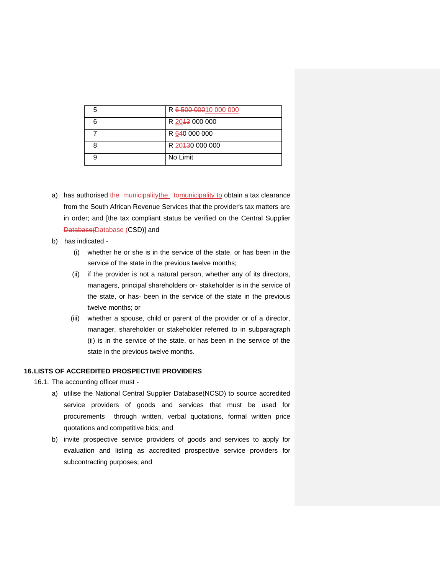| R 6-500-00010 000 000 |
|-----------------------|
| R 2043 000 000        |
| R 640 000 000         |
| R 20430 000 000       |
| No Limit              |

- a) has authorised the municipality the tomunicipality to obtain a tax clearance from the South African Revenue Services that the provider's tax matters are in order; and [the tax compliant status be verified on the Central Supplier Database(Database (CSD)] and
- b) has indicated
	- (i) whether he or she is in the service of the state, or has been in the service of the state in the previous twelve months;
	- (ii) if the provider is not a natural person, whether any of its directors, managers, principal shareholders or- stakeholder is in the service of the state, or has- been in the service of the state in the previous twelve months; or
	- (iii) whether a spouse, child or parent of the provider or of a director, manager, shareholder or stakeholder referred to in subparagraph (ii) is in the service of the state, or has been in the service of the state in the previous twelve months.

# <span id="page-27-0"></span>**16.LISTS OF ACCREDITED PROSPECTIVE PROVIDERS**

- 16.1. The accounting officer must
	- a) utilise the National Central Supplier Database(NCSD) to source accredited service providers of goods and services that must be used for procurements through written, verbal quotations, formal written price quotations and competitive bids; and
	- b) invite prospective service providers of goods and services to apply for evaluation and listing as accredited prospective service providers for subcontracting purposes; and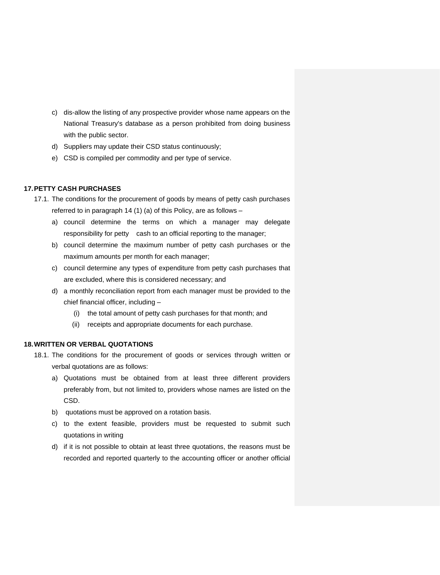- c) dis-allow the listing of any prospective provider whose name appears on the National Treasury's database as a person prohibited from doing business with the public sector.
- d) Suppliers may update their CSD status continuously;
- e) CSD is compiled per commodity and per type of service.

## <span id="page-28-0"></span>**17.PETTY CASH PURCHASES**

- 17.1. The conditions for the procurement of goods by means of petty cash purchases referred to in paragraph 14 (1) (a) of this Policy, are as follows –
	- a) council determine the terms on which a manager may delegate responsibility for petty cash to an official reporting to the manager;
	- b) council determine the maximum number of petty cash purchases or the maximum amounts per month for each manager;
	- c) council determine any types of expenditure from petty cash purchases that are excluded, where this is considered necessary; and
	- d) a monthly reconciliation report from each manager must be provided to the chief financial officer, including –
		- (i) the total amount of petty cash purchases for that month; and
		- (ii) receipts and appropriate documents for each purchase.

# <span id="page-28-1"></span>**18.WRITTEN OR VERBAL QUOTATIONS**

- 18.1. The conditions for the procurement of goods or services through written or verbal quotations are as follows:
	- a) Quotations must be obtained from at least three different providers preferably from, but not limited to, providers whose names are listed on the CSD.
	- b) quotations must be approved on a rotation basis.
	- c) to the extent feasible, providers must be requested to submit such quotations in writing
	- d) if it is not possible to obtain at least three quotations, the reasons must be recorded and reported quarterly to the accounting officer or another official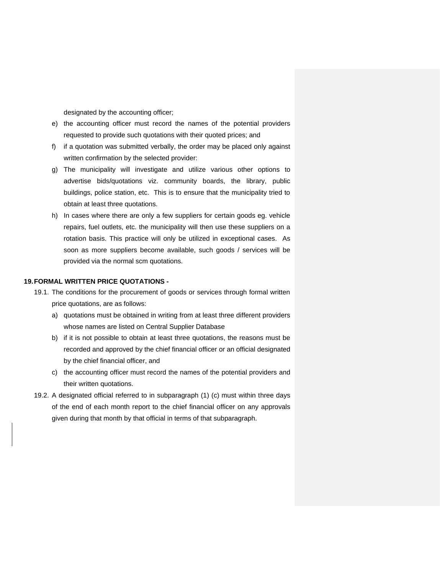designated by the accounting officer;

- e) the accounting officer must record the names of the potential providers requested to provide such quotations with their quoted prices; and
- f) if a quotation was submitted verbally, the order may be placed only against written confirmation by the selected provider:
- g) The municipality will investigate and utilize various other options to advertise bids/quotations viz. community boards, the library, public buildings, police station, etc. This is to ensure that the municipality tried to obtain at least three quotations.
- h) In cases where there are only a few suppliers for certain goods eg. vehicle repairs, fuel outlets, etc. the municipality will then use these suppliers on a rotation basis. This practice will only be utilized in exceptional cases. As soon as more suppliers become available, such goods / services will be provided via the normal scm quotations.

#### <span id="page-29-0"></span>**19.FORMAL WRITTEN PRICE QUOTATIONS -**

- 19.1. The conditions for the procurement of goods or services through formal written price quotations, are as follows:
	- a) quotations must be obtained in writing from at least three different providers whose names are listed on Central Supplier Database
	- b) if it is not possible to obtain at least three quotations, the reasons must be recorded and approved by the chief financial officer or an official designated by the chief financial officer, and
	- c) the accounting officer must record the names of the potential providers and their written quotations.
- 19.2. A designated official referred to in subparagraph (1) (c) must within three days of the end of each month report to the chief financial officer on any approvals given during that month by that official in terms of that subparagraph.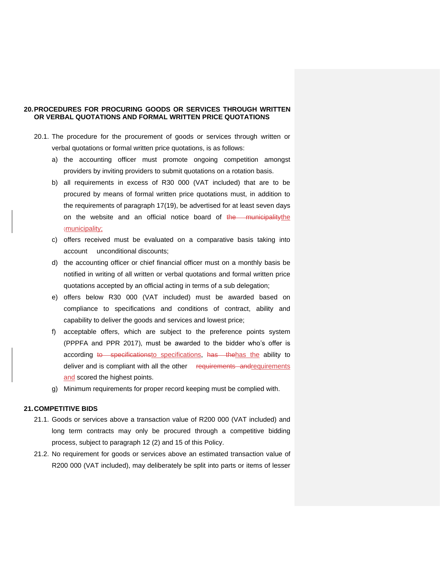## <span id="page-30-0"></span>**20.PROCEDURES FOR PROCURING GOODS OR SERVICES THROUGH WRITTEN OR VERBAL QUOTATIONS AND FORMAL WRITTEN PRICE QUOTATIONS**

- 20.1. The procedure for the procurement of goods or services through written or verbal quotations or formal written price quotations, is as follows:
	- a) the accounting officer must promote ongoing competition amongst providers by inviting providers to submit quotations on a rotation basis.
	- b) all requirements in excess of R30 000 (VAT included) that are to be procured by means of formal written price quotations must, in addition to the requirements of paragraph 17(19), be advertised for at least seven days on the website and an official notice board of the municipality the ;municipality;
	- c) offers received must be evaluated on a comparative basis taking into account unconditional discounts;
	- d) the accounting officer or chief financial officer must on a monthly basis be notified in writing of all written or verbal quotations and formal written price quotations accepted by an official acting in terms of a sub delegation;
	- e) offers below R30 000 (VAT included) must be awarded based on compliance to specifications and conditions of contract, ability and capability to deliver the goods and services and lowest price;
	- f) acceptable offers, which are subject to the preference points system (PPPFA and PPR 2017), must be awarded to the bidder who's offer is according to specificationsto specifications, has the has the ability to deliver and is compliant with all the other requirements and requirements and scored the highest points.
	- g) Minimum requirements for proper record keeping must be complied with.

## <span id="page-30-1"></span>**21.COMPETITIVE BIDS**

- 21.1. Goods or services above a transaction value of R200 000 (VAT included) and long term contracts may only be procured through a competitive bidding process, subject to paragraph 12 (2) and 15 of this Policy.
- 21.2. No requirement for goods or services above an estimated transaction value of R200 000 (VAT included), may deliberately be split into parts or items of lesser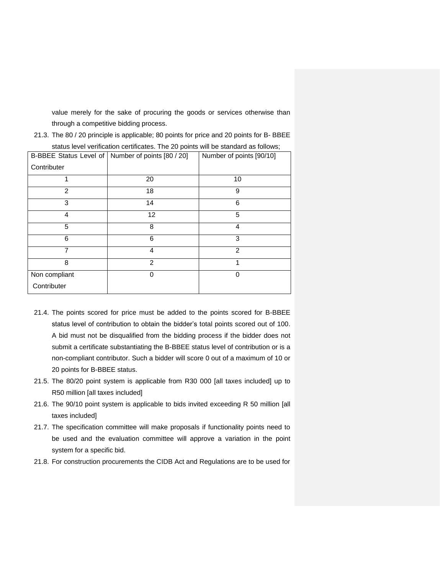value merely for the sake of procuring the goods or services otherwise than through a competitive bidding process.

|               | B-BBEE Status Level of   Number of points [80 / 20] | Number of points [90/10] |
|---------------|-----------------------------------------------------|--------------------------|
| Contributer   |                                                     |                          |
|               | 20                                                  | 10                       |
| 2             | 18                                                  | 9                        |
| 3             | 14                                                  | 6                        |
| 4             | 12                                                  | 5                        |
| 5             | 8                                                   | 4                        |
| 6             | 6                                                   | 3                        |
| 7             | 4                                                   | $\mathcal{P}$            |
| 8             | 2                                                   | 1                        |
| Non compliant | $\Omega$                                            | 0                        |
| Contributer   |                                                     |                          |

21.3. The 80 / 20 principle is applicable; 80 points for price and 20 points for B- BBEE status level verification certificates. The 20 points will be standard as follows;

- 21.4. The points scored for price must be added to the points scored for B-BBEE status level of contribution to obtain the bidder's total points scored out of 100. A bid must not be disqualified from the bidding process if the bidder does not submit a certificate substantiating the B-BBEE status level of contribution or is a non-compliant contributor. Such a bidder will score 0 out of a maximum of 10 or 20 points for B-BBEE status.
- 21.5. The 80/20 point system is applicable from R30 000 [all taxes included] up to R50 million [all taxes included]
- 21.6. The 90/10 point system is applicable to bids invited exceeding R 50 million [all taxes included]
- 21.7. The specification committee will make proposals if functionality points need to be used and the evaluation committee will approve a variation in the point system for a specific bid.
- 21.8. For construction procurements the CIDB Act and Regulations are to be used for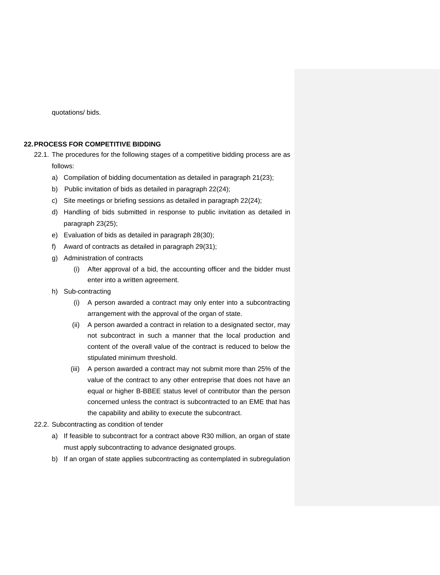quotations/ bids.

### <span id="page-32-0"></span>**22.PROCESS FOR COMPETITIVE BIDDING**

22.1. The procedures for the following stages of a competitive bidding process are as follows:

- a) Compilation of bidding documentation as detailed in paragraph 21(23);
- b) Public invitation of bids as detailed in paragraph 22(24);
- c) Site meetings or briefing sessions as detailed in paragraph 22(24);
- d) Handling of bids submitted in response to public invitation as detailed in paragraph 23(25);
- e) Evaluation of bids as detailed in paragraph 28(30);
- f) Award of contracts as detailed in paragraph 29(31);
- g) Administration of contracts
	- (i) After approval of a bid, the accounting officer and the bidder must enter into a written agreement.
- h) Sub-contracting
	- (i) A person awarded a contract may only enter into a subcontracting arrangement with the approval of the organ of state.
	- (ii) A person awarded a contract in relation to a designated sector, may not subcontract in such a manner that the local production and content of the overall value of the contract is reduced to below the stipulated minimum threshold.
	- (iii) A person awarded a contract may not submit more than 25% of the value of the contract to any other entreprise that does not have an equal or higher B-BBEE status level of contributor than the person concerned unless the contract is subcontracted to an EME that has the capability and ability to execute the subcontract.
- 22.2. Subcontracting as condition of tender
	- a) If feasible to subcontract for a contract above R30 million, an organ of state must apply subcontracting to advance designated groups.
	- b) If an organ of state applies subcontracting as contemplated in subregulation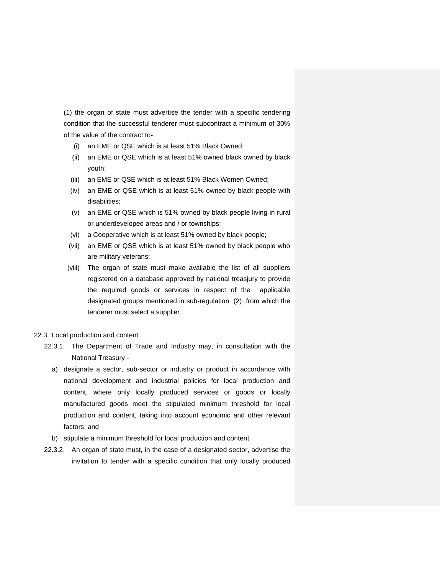(1) the organ of state must advertise the tender with a specific tendering condition that the successful tenderer must subcontract a minimum of 30% of the value of the contract to-

- (i) an EME or QSE which is at least 51% Black Owned;
- (ii) an EME or QSE which is at least 51% owned black owned by black youth;
- (iii) an EME or QSE which is at least 51% Black Women Owned;
- (iv) an EME or QSE which is at least 51% owned by black people with disabilities;
- (v) an EME or QSE which is 51% owned by black people living in rural or underdeveloped areas and / or townships;
- (vi) a Cooperative which is at least 51% owned by black people;
- (vii) an EME or QSE which is at least 51% owned by black people who are military veterans;
- (viii) The organ of state must make available the list of all suppliers registered on a database approved by national treasjury to provide the required goods or services in respect of the applicable designated groups mentioned in sub-regulation (2) from which the tenderer must select a supplier.

#### 22.3. Local production and content

- 22.3.1. The Department of Trade and Industry may, in consultation with the National Treasury
	- a) designate a sector, sub-sector or industry or product in accordance with national development and industrial policies for local production and content, where only locally produced services or goods or locally manufactured goods meet the stipulated minimum threshold for local production and content, taking into account economic and other relevant factors; and
	- b) stipulate a minimum threshold for local production and content.
- 22.3.2. An organ of state must, in the case of a designated sector, advertise the invitation to tender with a specific condition that only locally produced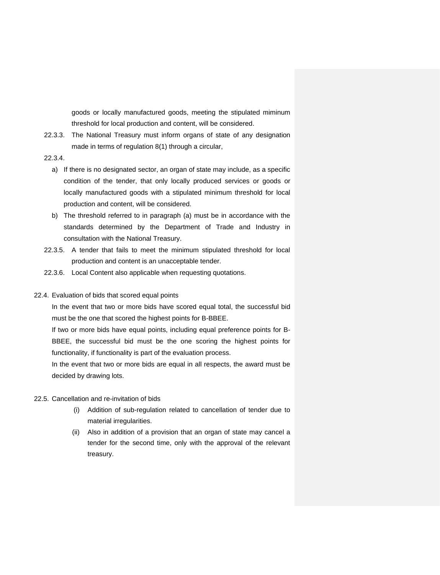goods or locally manufactured goods, meeting the stipulated miminum threshold for local production and content, will be considered.

- 22.3.3. The National Treasury must inform organs of state of any designation made in terms of regulation 8(1) through a circular,
- 22.3.4.
	- a) If there is no designated sector, an organ of state may include, as a specific condition of the tender, that only locally produced services or goods or locally manufactured goods with a stipulated minimum threshold for local production and content, will be considered.
	- b) The threshold referred to in paragraph (a) must be in accordance with the standards determined by the Department of Trade and Industry in consultation with the National Treasury.
- 22.3.5. A tender that fails to meet the minimum stipulated threshold for local production and content is an unacceptable tender.
- 22.3.6. Local Content also applicable when requesting quotations.
- 22.4. Evaluation of bids that scored equal points

In the event that two or more bids have scored equal total, the successful bid must be the one that scored the highest points for B-BBEE.

If two or more bids have equal points, including equal preference points for B-BBEE, the successful bid must be the one scoring the highest points for functionality, if functionality is part of the evaluation process.

In the event that two or more bids are equal in all respects, the award must be decided by drawing lots.

- 22.5. Cancellation and re-invitation of bids
	- (i) Addition of sub-regulation related to cancellation of tender due to material irregularities.
	- (ii) Also in addition of a provision that an organ of state may cancel a tender for the second time, only with the approval of the relevant treasury.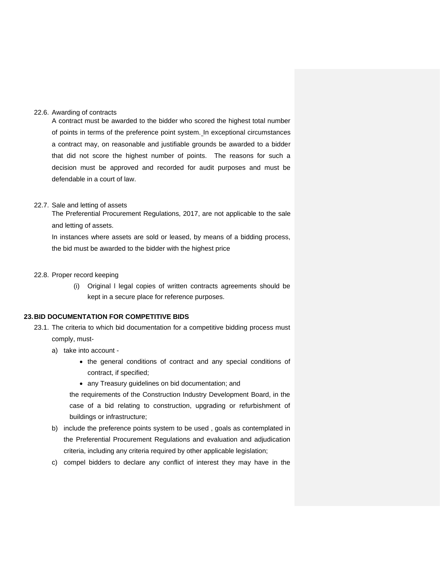#### 22.6. Awarding of contracts

A contract must be awarded to the bidder who scored the highest total number of points in terms of the preference point system. In exceptional circumstances a contract may, on reasonable and justifiable grounds be awarded to a bidder that did not score the highest number of points. The reasons for such a decision must be approved and recorded for audit purposes and must be defendable in a court of law.

#### 22.7. Sale and letting of assets

The Preferential Procurement Regulations, 2017, are not applicable to the sale and letting of assets.

In instances where assets are sold or leased, by means of a bidding process, the bid must be awarded to the bidder with the highest price

## 22.8. Proper record keeping

(i) Original l legal copies of written contracts agreements should be kept in a secure place for reference purposes.

## <span id="page-35-0"></span>**23.BID DOCUMENTATION FOR COMPETITIVE BIDS**

- 23.1. The criteria to which bid documentation for a competitive bidding process must comply, must
	- a) take into account
		- the general conditions of contract and any special conditions of contract, if specified;
		- any Treasury guidelines on bid documentation; and

the requirements of the Construction Industry Development Board, in the case of a bid relating to construction, upgrading or refurbishment of buildings or infrastructure;

- b) include the preference points system to be used , goals as contemplated in the Preferential Procurement Regulations and evaluation and adjudication criteria, including any criteria required by other applicable legislation;
- c) compel bidders to declare any conflict of interest they may have in the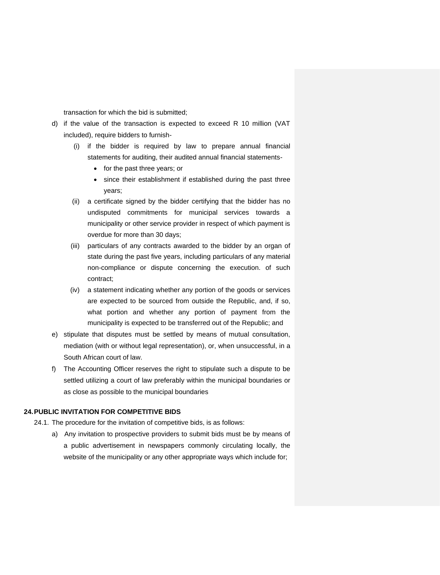transaction for which the bid is submitted;

- d) if the value of the transaction is expected to exceed R 10 million (VAT included), require bidders to furnish-
	- (i) if the bidder is required by law to prepare annual financial statements for auditing, their audited annual financial statements-
		- for the past three years; or
		- since their establishment if established during the past three years;
	- (ii) a certificate signed by the bidder certifying that the bidder has no undisputed commitments for municipal services towards a municipality or other service provider in respect of which payment is overdue for more than 30 days;
	- (iii) particulars of any contracts awarded to the bidder by an organ of state during the past five years, including particulars of any material non-compliance or dispute concerning the execution. of such contract;
	- (iv) a statement indicating whether any portion of the goods or services are expected to be sourced from outside the Republic, and, if so, what portion and whether any portion of payment from the municipality is expected to be transferred out of the Republic; and
- e) stipulate that disputes must be settled by means of mutual consultation, mediation (with or without legal representation), or, when unsuccessful, in a South African court of law.
- f) The Accounting Officer reserves the right to stipulate such a dispute to be settled utilizing a court of law preferably within the municipal boundaries or as close as possible to the municipal boundaries

#### <span id="page-36-0"></span>**24.PUBLIC INVITATION FOR COMPETITIVE BIDS**

24.1. The procedure for the invitation of competitive bids, is as follows:

a) Any invitation to prospective providers to submit bids must be by means of a public advertisement in newspapers commonly circulating locally, the website of the municipality or any other appropriate ways which include for;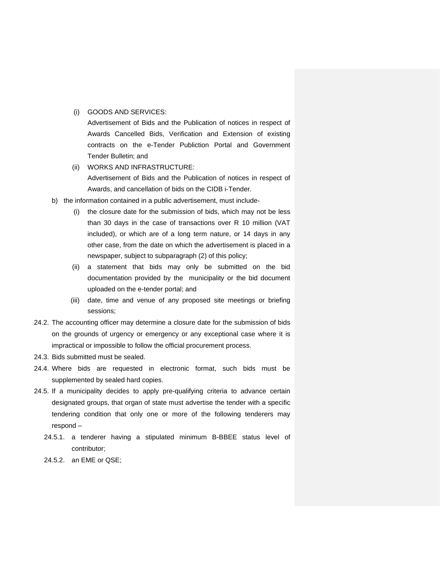## (i) GOODS AND SERVICES:

Advertisement of Bids and the Publication of notices in respect of Awards Cancelled Bids, Verification and Extension of existing contracts on the e-Tender Publiction Portal and Government Tender Bulletin; and

- (ii) WORKS AND INFRASTRUCTURE: Advertisement of Bids and the Publication of notices in respect of Awards, and cancellation of bids on the CIDB i-Tender.
- b) the information contained in a public advertisement, must include-
	- (i) the closure date for the submission of bids, which may not be less than 30 days in the case of transactions over R 10 million (VAT included), or which are of a long term nature, or 14 days in any other case, from the date on which the advertisement is placed in a newspaper, subject to subparagraph (2) of this policy;
	- (ii) a statement that bids may only be submitted on the bid documentation provided by the municipality or the bid document uploaded on the e-tender portal; and
	- (iii) date, time and venue of any proposed site meetings or briefing sessions;
- 24.2. The accounting officer may determine a closure date for the submission of bids on the grounds of urgency or emergency or any exceptional case where it is impractical or impossible to follow the official procurement process.
- 24.3. Bids submitted must be sealed.
- 24.4. Where bids are requested in electronic format, such bids must be supplemented by sealed hard copies.
- 24.5. If a municipality decides to apply pre-qualifying criteria to advance certain designated groups, that organ of state must advertise the tender with a specific tendering condition that only one or more of the following tenderers may respond –
	- 24.5.1. a tenderer having a stipulated minimum B-BBEE status level of contributor;
	- 24.5.2. an EME or QSE;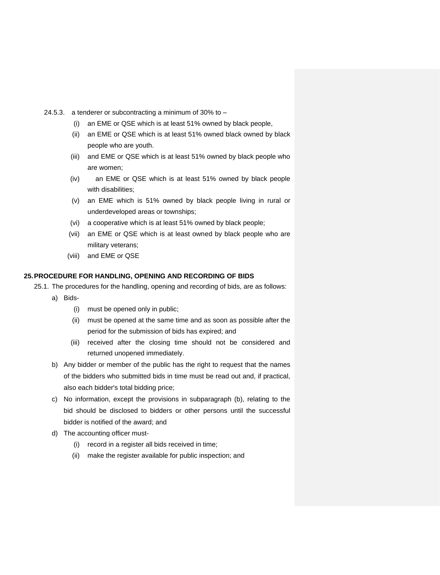- 24.5.3. a tenderer or subcontracting a minimum of 30% to
	- (i) an EME or QSE which is at least 51% owned by black people,
	- (ii) an EME or QSE which is at least 51% owned black owned by black people who are youth.
	- (iii) and EME or QSE which is at least 51% owned by black people who are women;
	- (iv) an EME or QSE which is at least 51% owned by black people with disabilities;
	- (v) an EME which is 51% owned by black people living in rural or underdeveloped areas or townships;
	- (vi) a cooperative which is at least 51% owned by black people;
	- (vii) an EME or QSE which is at least owned by black people who are military veterans;
	- (viii) and EME or QSE

## <span id="page-38-0"></span>**25.PROCEDURE FOR HANDLING, OPENING AND RECORDING OF BIDS**

- 25.1. The procedures for the handling, opening and recording of bids, are as follows:
	- a) Bids-
		- (i) must be opened only in public;
		- (ii) must be opened at the same time and as soon as possible after the period for the submission of bids has expired; and
		- (iii) received after the closing time should not be considered and returned unopened immediately.
	- b) Any bidder or member of the public has the right to request that the names of the bidders who submitted bids in time must be read out and, if practical, also each bidder's total bidding price;
	- c) No information, except the provisions in subparagraph (b), relating to the bid should be disclosed to bidders or other persons until the successful bidder is notified of the award; and
	- d) The accounting officer must-
		- (i) record in a register all bids received in time;
		- (ii) make the register available for public inspection; and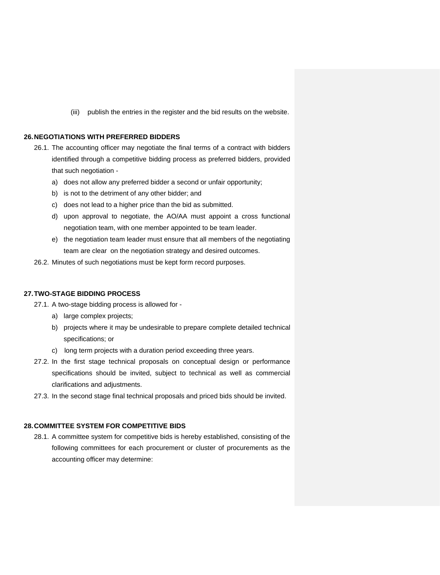(iii) publish the entries in the register and the bid results on the website.

#### <span id="page-39-0"></span>**26.NEGOTIATIONS WITH PREFERRED BIDDERS**

- 26.1. The accounting officer may negotiate the final terms of a contract with bidders identified through a competitive bidding process as preferred bidders, provided that such negotiation
	- a) does not allow any preferred bidder a second or unfair opportunity;
	- b) is not to the detriment of any other bidder; and
	- c) does not lead to a higher price than the bid as submitted.
	- d) upon approval to negotiate, the AO/AA must appoint a cross functional negotiation team, with one member appointed to be team leader.
	- e) the negotiation team leader must ensure that all members of the negotiating team are clear on the negotiation strategy and desired outcomes.
- 26.2. Minutes of such negotiations must be kept form record purposes.

#### <span id="page-39-1"></span>**27.TWO-STAGE BIDDING PROCESS**

- 27.1. A two-stage bidding process is allowed for
	- a) large complex projects;
	- b) projects where it may be undesirable to prepare complete detailed technical specifications; or
	- c) long term projects with a duration period exceeding three years.
- 27.2. In the first stage technical proposals on conceptual design or performance specifications should be invited, subject to technical as well as commercial clarifications and adjustments.
- 27.3. In the second stage final technical proposals and priced bids should be invited.

#### <span id="page-39-2"></span>**28.COMMITTEE SYSTEM FOR COMPETITIVE BIDS**

28.1. A committee system for competitive bids is hereby established, consisting of the following committees for each procurement or cluster of procurements as the accounting officer may determine: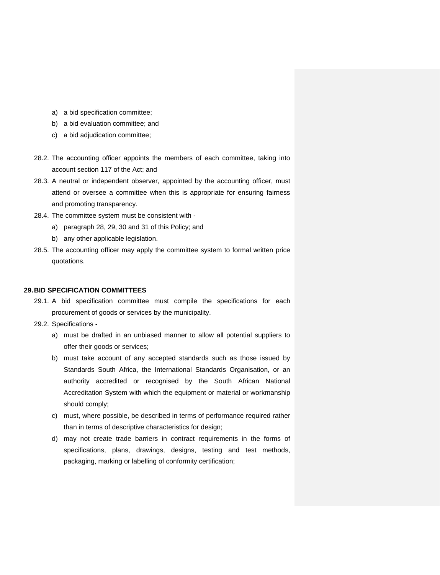- a) a bid specification committee;
- b) a bid evaluation committee; and
- c) a bid adjudication committee;
- 28.2. The accounting officer appoints the members of each committee, taking into account section 117 of the Act; and
- 28.3. A neutral or independent observer, appointed by the accounting officer, must attend or oversee a committee when this is appropriate for ensuring fairness and promoting transparency.
- 28.4. The committee system must be consistent with
	- a) paragraph 28, 29, 30 and 31 of this Policy; and
	- b) any other applicable legislation.
- 28.5. The accounting officer may apply the committee system to formal written price quotations.

#### <span id="page-40-0"></span>**29.BID SPECIFICATION COMMITTEES**

- 29.1. A bid specification committee must compile the specifications for each procurement of goods or services by the municipality.
- 29.2. Specifications
	- a) must be drafted in an unbiased manner to allow all potential suppliers to offer their goods or services;
	- b) must take account of any accepted standards such as those issued by Standards South Africa, the International Standards Organisation, or an authority accredited or recognised by the South African National Accreditation System with which the equipment or material or workmanship should comply;
	- c) must, where possible, be described in terms of performance required rather than in terms of descriptive characteristics for design;
	- d) may not create trade barriers in contract requirements in the forms of specifications, plans, drawings, designs, testing and test methods, packaging, marking or labelling of conformity certification;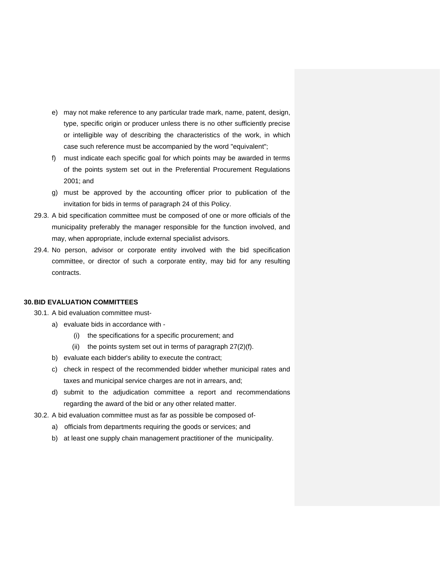- e) may not make reference to any particular trade mark, name, patent, design, type, specific origin or producer unless there is no other sufficiently precise or intelligible way of describing the characteristics of the work, in which case such reference must be accompanied by the word "equivalent";
- f) must indicate each specific goal for which points may be awarded in terms of the points system set out in the Preferential Procurement Regulations 2001; and
- g) must be approved by the accounting officer prior to publication of the invitation for bids in terms of paragraph 24 of this Policy.
- 29.3. A bid specification committee must be composed of one or more officials of the municipality preferably the manager responsible for the function involved, and may, when appropriate, include external specialist advisors.
- 29.4. No person, advisor or corporate entity involved with the bid specification committee, or director of such a corporate entity, may bid for any resulting contracts.

#### <span id="page-41-0"></span>**30.BID EVALUATION COMMITTEES**

- 30.1. A bid evaluation committee must
	- a) evaluate bids in accordance with
		- (i) the specifications for a specific procurement; and
		- (ii) the points system set out in terms of paragraph  $27(2)(f)$ .
	- b) evaluate each bidder's ability to execute the contract;
	- c) check in respect of the recommended bidder whether municipal rates and taxes and municipal service charges are not in arrears, and;
	- d) submit to the adjudication committee a report and recommendations regarding the award of the bid or any other related matter.
- 30.2. A bid evaluation committee must as far as possible be composed of
	- a) officials from departments requiring the goods or services; and
	- b) at least one supply chain management practitioner of the municipality*.*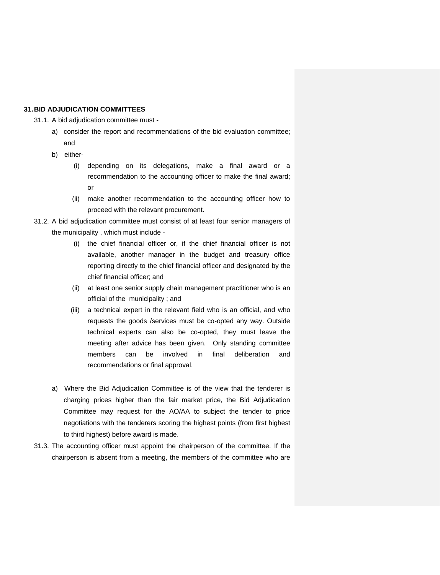## <span id="page-42-0"></span>**31.BID ADJUDICATION COMMITTEES**

31.1. A bid adjudication committee must -

- a) consider the report and recommendations of the bid evaluation committee; and
- b) either-
	- (i) depending on its delegations, make a final award or a recommendation to the accounting officer to make the final award; or
	- (ii) make another recommendation to the accounting officer how to proceed with the relevant procurement.
- 31.2. A bid adjudication committee must consist of at least four senior managers of the municipality , which must include -
	- (i) the chief financial officer or, if the chief financial officer is not available, another manager in the budget and treasury office reporting directly to the chief financial officer and designated by the chief financial officer; and
	- (ii) at least one senior supply chain management practitioner who is an official of the municipality ; and
	- (iii) a technical expert in the relevant field who is an official, and who requests the goods /services must be co-opted any way. Outside technical experts can also be co-opted, they must leave the meeting after advice has been given. Only standing committee members can be involved in final deliberation and recommendations or final approval.
	- a) Where the Bid Adjudication Committee is of the view that the tenderer is charging prices higher than the fair market price, the Bid Adjudication Committee may request for the AO/AA to subject the tender to price negotiations with the tenderers scoring the highest points (from first highest to third highest) before award is made.
- 31.3. The accounting officer must appoint the chairperson of the committee. If the chairperson is absent from a meeting, the members of the committee who are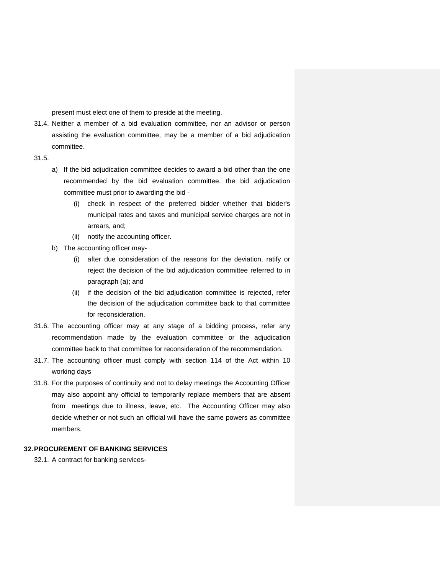present must elect one of them to preside at the meeting.

- 31.4. Neither a member of a bid evaluation committee, nor an advisor or person assisting the evaluation committee, may be a member of a bid adjudication committee.
- 31.5.
	- a) If the bid adjudication committee decides to award a bid other than the one recommended by the bid evaluation committee, the bid adjudication committee must prior to awarding the bid -
		- (i) check in respect of the preferred bidder whether that bidder's municipal rates and taxes and municipal service charges are not in arrears, and;
		- (ii) notify the accounting officer.
	- b) The accounting officer may-
		- (i) after due consideration of the reasons for the deviation, ratify or reject the decision of the bid adjudication committee referred to in paragraph (a); and
		- (ii) if the decision of the bid adjudication committee is rejected, refer the decision of the adjudication committee back to that committee for reconsideration.
- 31.6. The accounting officer may at any stage of a bidding process, refer any recommendation made by the evaluation committee or the adjudication committee back to that committee for reconsideration of the recommendation.
- 31.7. The accounting officer must comply with section 114 of the Act within 10 working days
- 31.8. For the purposes of continuity and not to delay meetings the Accounting Officer may also appoint any official to temporarily replace members that are absent from meetings due to illness, leave, etc. The Accounting Officer may also decide whether or not such an official will have the same powers as committee members.

# <span id="page-43-0"></span>**32.PROCUREMENT OF BANKING SERVICES**

32.1. A contract for banking services-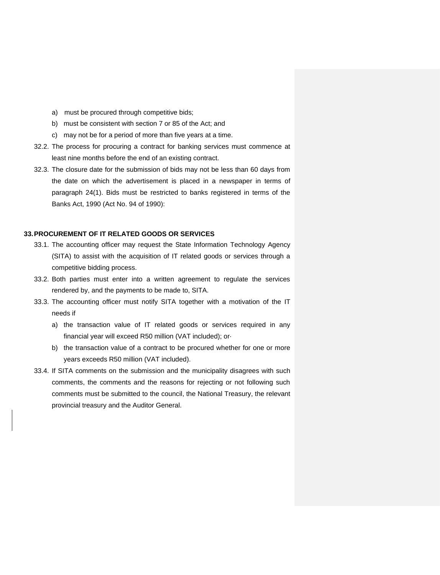- a) must be procured through competitive bids;
- b) must be consistent with section 7 or 85 of the Act; and
- c) may not be for a period of more than five years at a time.
- 32.2. The process for procuring a contract for banking services must commence at least nine months before the end of an existing contract.
- 32.3. The closure date for the submission of bids may not be less than 60 days from the date on which the advertisement is placed in a newspaper in terms of paragraph 24(1). Bids must be restricted to banks registered in terms of the Banks Act, 1990 (Act No. 94 of 1990):

## <span id="page-44-0"></span>**33.PROCUREMENT OF IT RELATED GOODS OR SERVICES**

- 33.1. The accounting officer may request the State Information Technology Agency (SITA) to assist with the acquisition of IT related goods or services through a competitive bidding process.
- 33.2. Both parties must enter into a written agreement to regulate the services rendered by, and the payments to be made to, SITA.
- 33.3. The accounting officer must notify SITA together with a motivation of the IT needs if
	- a) the transaction value of IT related goods or services required in any financial year will exceed R50 million (VAT included); or·
	- b) the transaction value of a contract to be procured whether for one or more years exceeds R50 million (VAT included).
- 33.4. If SITA comments on the submission and the municipality disagrees with such comments, the comments and the reasons for rejecting or not following such comments must be submitted to the council, the National Treasury, the relevant provincial treasury and the Auditor General.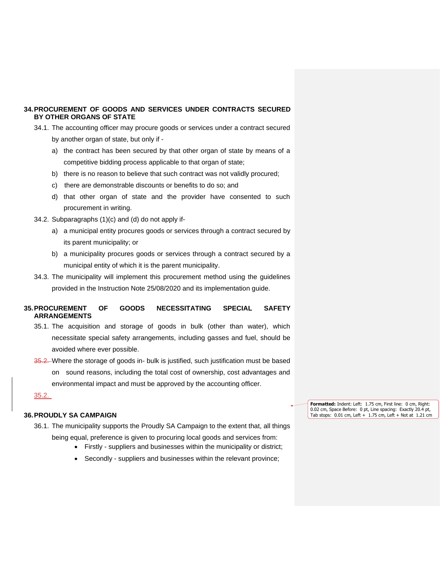## <span id="page-45-0"></span>**34.PROCUREMENT OF GOODS AND SERVICES UNDER CONTRACTS SECURED BY OTHER ORGANS OF STATE**

- 34.1. The accounting officer may procure goods or services under a contract secured by another organ of state, but only if
	- a) the contract has been secured by that other organ of state by means of a competitive bidding process applicable to that organ of state;
	- b) there is no reason to believe that such contract was not validly procured;
	- c) there are demonstrable discounts or benefits to do so; and
	- d) that other organ of state and the provider have consented to such procurement in writing.
- 34.2. Subparagraphs (1)(c) and (d) do not apply if
	- a) a municipal entity procures goods or services through a contract secured by its parent municipality; or
	- b) a municipality procures goods or services through a contract secured by a municipal entity of which it is the parent municipality.
- 34.3. The municipality will implement this procurement method using the guidelines provided in the Instruction Note 25/08/2020 and its implementation guide.

# <span id="page-45-1"></span>**35.PROCUREMENT OF GOODS NECESSITATING SPECIAL SAFETY ARRANGEMENTS**

- 35.1. The acquisition and storage of goods in bulk (other than water), which necessitate special safety arrangements, including gasses and fuel, should be avoided where ever possible.
- 35.2. Where the storage of goods in- bulk is justified, such justification must be based on sound reasons, including the total cost of ownership, cost advantages and environmental impact and must be approved by the accounting officer.

35.2.

## <span id="page-45-2"></span>**36.PROUDLY SA CAMPAIGN**

- 36.1. The municipality supports the Proudly SA Campaign to the extent that, all things being equal, preference is given to procuring local goods and services from:
	- Firstly suppliers and businesses within the municipality or district;
	- Secondly suppliers and businesses within the relevant province;

**Formatted:** Indent: Left: 1.75 cm, First line: 0 cm, Right: 0.02 cm, Space Before: 0 pt, Line spacing: Exactly 20.4 pt, Tab stops: 0.01 cm, Left + 1.75 cm, Left + Not at 1.21 cm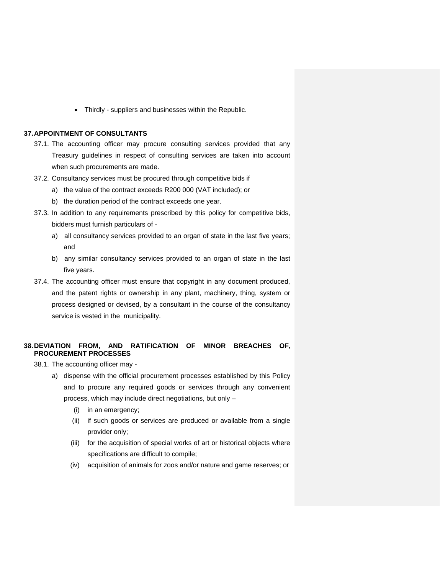• Thirdly - suppliers and businesses within the Republic.

## <span id="page-46-0"></span>**37.APPOINTMENT OF CONSULTANTS**

- 37.1. The accounting officer may procure consulting services provided that any Treasury guidelines in respect of consulting services are taken into account when such procurements are made.
- 37.2. Consultancy services must be procured through competitive bids if
	- a) the value of the contract exceeds R200 000 (VAT included); or
	- b) the duration period of the contract exceeds one year.
- 37.3. In addition to any requirements prescribed by this policy for competitive bids, bidders must furnish particulars of
	- a) all consultancy services provided to an organ of state in the last five years; and
	- b) any similar consultancy services provided to an organ of state in the last five years.
- 37.4. The accounting officer must ensure that copyright in any document produced, and the patent rights or ownership in any plant, machinery, thing, system or process designed or devised, by a consultant in the course of the consultancy service is vested in the municipality.

# <span id="page-46-1"></span>**38.DEVIATION FROM, AND RATIFICATION OF MINOR BREACHES OF, PROCUREMENT PROCESSES**

38.1. The accounting officer may -

- a) dispense with the official procurement processes established by this Policy and to procure any required goods or services through any convenient process, which may include direct negotiations, but only –
	- (i) in an emergency;
	- (ii) if such goods or services are produced or available from a single provider only;
	- (iii) for the acquisition of special works of art or historical objects where specifications are difficult to compile;
	- (iv) acquisition of animals for zoos and/or nature and game reserves; or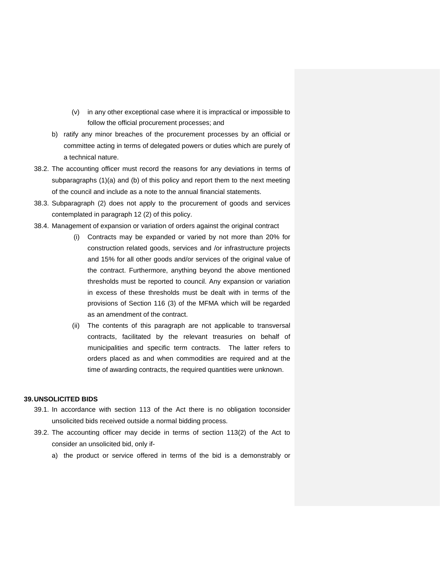- (v) in any other exceptional case where it is impractical or impossible to follow the official procurement processes; and
- b) ratify any minor breaches of the procurement processes by an official or committee acting in terms of delegated powers or duties which are purely of a technical nature.
- 38.2. The accounting officer must record the reasons for any deviations in terms of subparagraphs (1)(a) and (b) of this policy and report them to the next meeting of the council and include as a note to the annual financial statements.
- 38.3. Subparagraph (2) does not apply to the procurement of goods and services contemplated in paragraph 12 (2) of this policy.
- 38.4. Management of expansion or variation of orders against the original contract
	- (i) Contracts may be expanded or varied by not more than 20% for construction related goods, services and /or infrastructure projects and 15% for all other goods and/or services of the original value of the contract. Furthermore, anything beyond the above mentioned thresholds must be reported to council. Any expansion or variation in excess of these thresholds must be dealt with in terms of the provisions of Section 116 (3) of the MFMA which will be regarded as an amendment of the contract.
	- (ii) The contents of this paragraph are not applicable to transversal contracts, facilitated by the relevant treasuries on behalf of municipalities and specific term contracts. The latter refers to orders placed as and when commodities are required and at the time of awarding contracts, the required quantities were unknown.

## <span id="page-47-0"></span>**39.UNSOLICITED BIDS**

- 39.1. In accordance with section 113 of the Act there is no obligation toconsider unsolicited bids received outside a normal bidding process.
- 39.2. The accounting officer may decide in terms of section 113(2) of the Act to consider an unsolicited bid, only if
	- a) the product or service offered in terms of the bid is a demonstrably or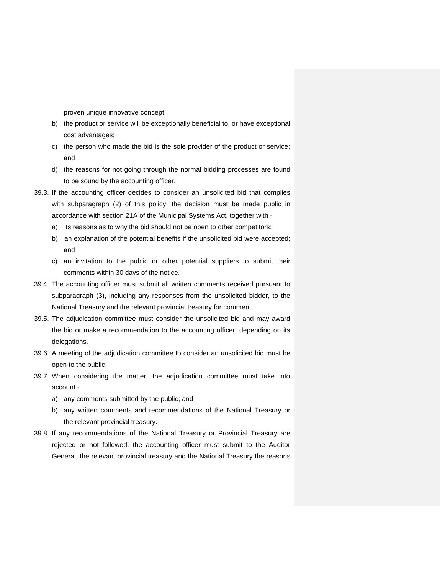proven unique innovative concept;

- b) the product or service will be exceptionally beneficial to, or have exceptional cost advantages;
- c) the person who made the bid is the sole provider of the product or service; and
- d) the reasons for not going through the normal bidding processes are found to be sound by the accounting officer.
- 39.3. If the accounting officer decides to consider an unsolicited bid that complies with subparagraph (2) of this policy, the decision must be made public in accordance with section 21A of the Municipal Systems Act, together with
	- a) its reasons as to why the bid should not be open to other competitors;
	- b) an explanation of the potential benefits if the unsolicited bid were accepted; and
	- c) an invitation to the public or other potential suppliers to submit their comments within 30 days of the notice.
- 39.4. The accounting officer must submit all written comments received pursuant to subparagraph (3), including any responses from the unsolicited bidder, to the National Treasury and the relevant provincial treasury for comment.
- 39.5. The adjudication committee must consider the unsolicited bid and may award the bid or make a recommendation to the accounting officer, depending on its delegations.
- 39.6. A meeting of the adjudication committee to consider an unsolicited bid must be open to the public.
- 39.7. When considering the matter, the adjudication committee must take into account
	- a) any comments submitted by the public; and
	- b) any written comments and recommendations of the National Treasury or the relevant provincial treasury.
- 39.8. If any recommendations of the National Treasury or Provincial Treasury are rejected or not followed, the accounting officer must submit to the Auditor General, the relevant provincial treasury and the National Treasury the reasons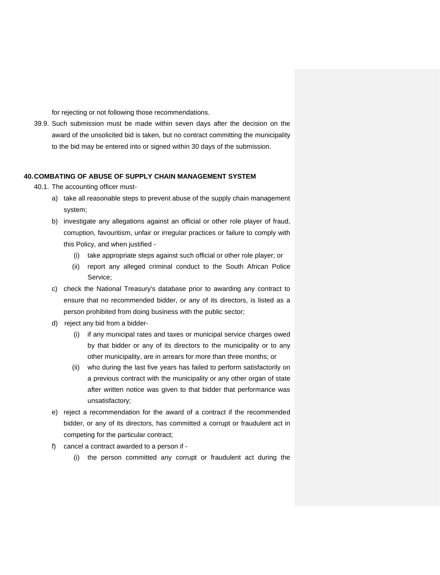for rejecting or not following those recommendations.

39.9. Such submission must be made within seven days after the decision on the award of the unsolicited bid is taken, but no contract committing the municipality to the bid may be entered into or signed within 30 days of the submission.

## <span id="page-49-0"></span>**40.COMBATING OF ABUSE OF SUPPLY CHAIN MANAGEMENT SYSTEM**

- 40.1. The accounting officer must
	- a) take all reasonable steps to prevent abuse of the supply chain management system;
	- b) investigate any allegations against an official or other role player of fraud, corruption, favouritism, unfair or irregular practices or failure to comply with this Policy, and when justified -
		- (i) take appropriate steps against such official or other role player; or
		- (ii) report any alleged criminal conduct to the South African Police Service;
	- c) check the National Treasury's database prior to awarding any contract to ensure that no recommended bidder, or any of its directors, is listed as a person prohibited from doing business with the public sector;
	- d) reject any bid from a bidder-
		- (i) if any municipal rates and taxes or municipal service charges owed by that bidder or any of its directors to the municipality or to any other municipality, are in arrears for more than three months; or
		- (ii) who during the last five years has failed to perform satisfactorily on a previous contract with the municipality or any other organ of state after written notice was given to that bidder that performance was unsatisfactory;
	- e) reject a recommendation for the award of a contract if the recommended bidder, or any of its directors, has committed a corrupt or fraudulent act in competing for the particular contract;
	- f) cancel a contract awarded to a person if
		- (i) the person committed any corrupt or fraudulent act during the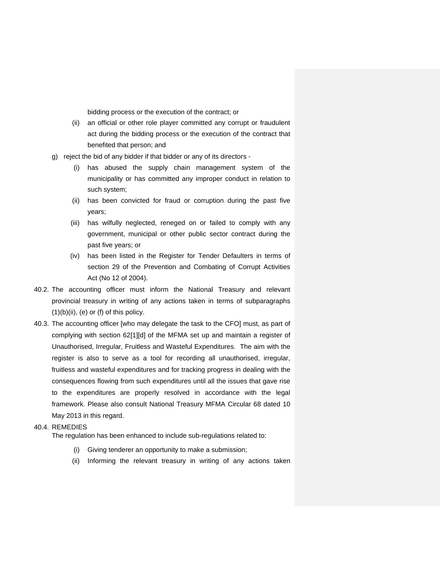bidding process or the execution of the contract; or

- (ii) an official or other role player committed any corrupt or fraudulent act during the bidding process or the execution of the contract that benefited that person; and
- g) reject the bid of any bidder if that bidder or any of its directors
	- (i) has abused the supply chain management system of the municipality or has committed any improper conduct in relation to such system;
	- (ii) has been convicted for fraud or corruption during the past five years;
	- (iii) has wilfully neglected, reneged on or failed to comply with any government, municipal or other public sector contract during the past five years; or
	- (iv) has been listed in the Register for Tender Defaulters in terms of section 29 of the Prevention and Combating of Corrupt Activities Act (No 12 of 2004).
- 40.2. The accounting officer must inform the National Treasury and relevant provincial treasury in writing of any actions taken in terms of subparagraphs  $(1)(b)(ii)$ ,  $(e)$  or  $(f)$  of this policy.
- 40.3. The accounting officer [who may delegate the task to the CFO] must, as part of complying with section 62[1][d] of the MFMA set up and maintain a register of Unauthorised, Irregular, Fruitless and Wasteful Expenditures. The aim with the register is also to serve as a tool for recording all unauthorised, irregular, fruitless and wasteful expenditures and for tracking progress in dealing with the consequences flowing from such expenditures until all the issues that gave rise to the expenditures are properly resolved in accordance with the legal framework. Please also consult National Treasury MFMA Circular 68 dated 10 May 2013 in this regard.

#### 40.4. REMEDIES

The regulation has been enhanced to include sub-regulations related to:

- (i) Giving tenderer an opportunity to make a submission;
- (ii) Informing the relevant treasury in writing of any actions taken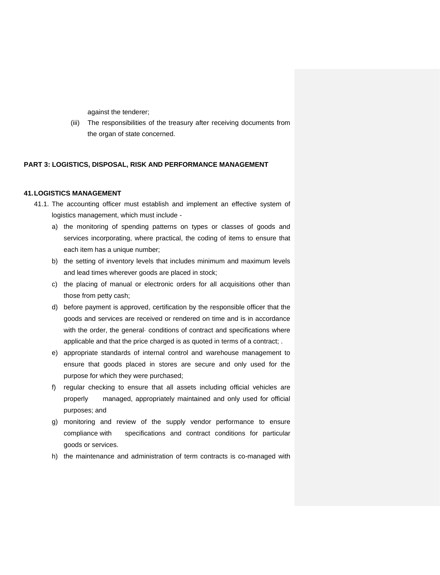against the tenderer;

(iii) The responsibilities of the treasury after receiving documents from the organ of state concerned.

#### <span id="page-51-0"></span>**PART 3: LOGISTICS, DISPOSAL, RISK AND PERFORMANCE MANAGEMENT**

#### <span id="page-51-1"></span>**41.LOGISTICS MANAGEMENT**

- 41.1. The accounting officer must establish and implement an effective system of logistics management, which must include
	- a) the monitoring of spending patterns on types or classes of goods and services incorporating, where practical, the coding of items to ensure that each item has a unique number;
	- b) the setting of inventory levels that includes minimum and maximum levels and lead times wherever goods are placed in stock;
	- c) the placing of manual or electronic orders for all acquisitions other than those from petty cash;
	- d) before payment is approved, certification by the responsible officer that the goods and services are received or rendered on time and is in accordance with the order, the general conditions of contract and specifications where applicable and that the price charged is as quoted in terms of a contract; .
	- e) appropriate standards of internal control and warehouse management to ensure that goods placed in stores are secure and only used for the purpose for which they were purchased;
	- f) regular checking to ensure that all assets including official vehicles are properly managed, appropriately maintained and only used for official purposes; and
	- g) monitoring and review of the supply vendor performance to ensure compliance with specifications and contract conditions for particular goods or services.
	- h) the maintenance and administration of term contracts is co-managed with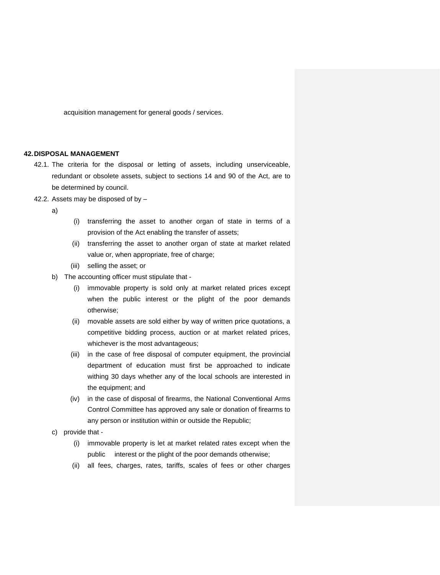acquisition management for general goods / services.

## <span id="page-52-0"></span>**42.DISPOSAL MANAGEMENT**

- 42.1. The criteria for the disposal or letting of assets, including unserviceable, redundant or obsolete assets, subject to sections 14 and 90 of the Act, are to be determined by council.
- 42.2. Assets may be disposed of by –

a)

- (i) transferring the asset to another organ of state in terms of a provision of the Act enabling the transfer of assets;
- (ii) transferring the asset to another organ of state at market related value or, when appropriate, free of charge;
- (iii) selling the asset; or
- b) The accounting officer must stipulate that
	- (i) immovable property is sold only at market related prices except when the public interest or the plight of the poor demands otherwise;
	- (ii) movable assets are sold either by way of written price quotations, a competitive bidding process, auction or at market related prices, whichever is the most advantageous;
	- (iii) in the case of free disposal of computer equipment, the provincial department of education must first be approached to indicate withing 30 days whether any of the local schools are interested in the equipment; and
	- (iv) in the case of disposal of firearms, the National Conventional Arms Control Committee has approved any sale or donation of firearms to any person or institution within or outside the Republic;
- c) provide that
	- (i) immovable property is let at market related rates except when the public interest or the plight of the poor demands otherwise;
	- (ii) all fees, charges, rates, tariffs, scales of fees or other charges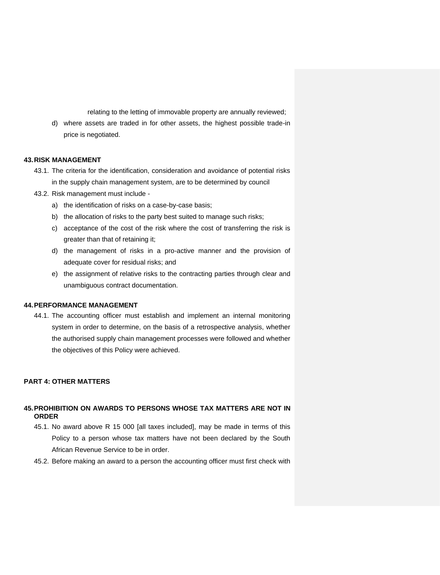relating to the letting of immovable property are annually reviewed;

d) where assets are traded in for other assets, the highest possible trade-in price is negotiated.

## <span id="page-53-0"></span>**43.RISK MANAGEMENT**

- 43.1. The criteria for the identification, consideration and avoidance of potential risks in the supply chain management system, are to be determined by council
- 43.2. Risk management must include
	- a) the identification of risks on a case-by-case basis;
	- b) the allocation of risks to the party best suited to manage such risks;
	- c) acceptance of the cost of the risk where the cost of transferring the risk is greater than that of retaining it;
	- d) the management of risks in a pro-active manner and the provision of adequate cover for residual risks; and
	- e) the assignment of relative risks to the contracting parties through clear and unambiguous contract documentation.

## <span id="page-53-1"></span>**44.PERFORMANCE MANAGEMENT**

44.1. The accounting officer must establish and implement an internal monitoring system in order to determine, on the basis of a retrospective analysis, whether the authorised supply chain management processes were followed and whether the objectives of this Policy were achieved.

## <span id="page-53-2"></span>**PART 4: OTHER MATTERS**

#### <span id="page-53-3"></span>**45.PROHIBITION ON AWARDS TO PERSONS WHOSE TAX MATTERS ARE NOT IN ORDER**

- 45.1. No award above R 15 000 [all taxes included], may be made in terms of this Policy to a person whose tax matters have not been declared by the South African Revenue Service to be in order.
- 45.2. Before making an award to a person the accounting officer must first check with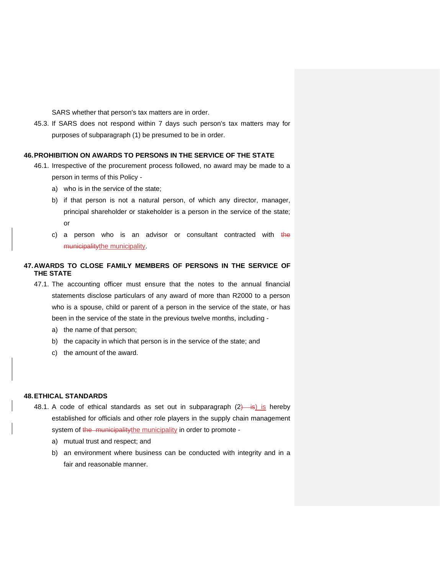SARS whether that person's tax matters are in order.

45.3. If SARS does not respond within 7 days such person's tax matters may for purposes of subparagraph (1) be presumed to be in order.

## <span id="page-54-0"></span>**46.PROHIBITION ON AWARDS TO PERSONS IN THE SERVICE OF THE STATE**

- 46.1. Irrespective of the procurement process followed, no award may be made to a person in terms of this Policy
	- a) who is in the service of the state;
	- b) if that person is not a natural person, of which any director, manager, principal shareholder or stakeholder is a person in the service of the state; or
	- c) a person who is an advisor or consultant contracted with  $t$ he municipalitythe municipality.

# <span id="page-54-1"></span>**47.AWARDS TO CLOSE FAMILY MEMBERS OF PERSONS IN THE SERVICE OF THE STATE**

- 47.1. The accounting officer must ensure that the notes to the annual financial statements disclose particulars of any award of more than R2000 to a person who is a spouse, child or parent of a person in the service of the state, or has been in the service of the state in the previous twelve months, including
	- a) the name of that person;
	- b) the capacity in which that person is in the service of the state; and
	- c) the amount of the award.

## <span id="page-54-2"></span>**48.ETHICAL STANDARDS**

- 48.1. A code of ethical standards as set out in subparagraph  $(2)$  is hereby established for officials and other role players in the supply chain management system of the municipalitythe municipality in order to promote
	- a) mutual trust and respect; and
	- b) an environment where business can be conducted with integrity and in a fair and reasonable manner.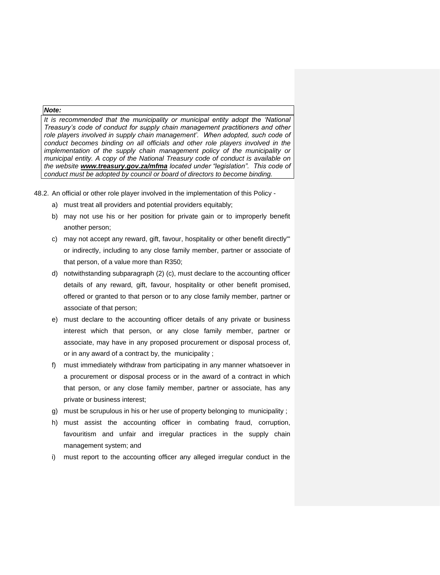## *Note:*

*It is recommended that the municipality or municipal entity adopt the 'National Treasury's code of conduct for supply chain management practitioners and other role players involved in supply chain management'. When adopted, such code of conduct becomes binding on all officials and other role players involved in the implementation of the supply chain management policy of the municipality or municipal entity. A copy of the National Treasury code of conduct is available on the website [www.treasury.gov.za/mfma](http://www.treasury.gov.za/mfma) located under "legislation". This code of conduct must be adopted by council or board of directors to become binding.*

48.2. An official or other role player involved in the implementation of this Policy -

- a) must treat all providers and potential providers equitably;
- b) may not use his or her position for private gain or to improperly benefit another person;
- c) may not accept any reward, gift, favour, hospitality or other benefit directly'" or indirectly, including to any close family member, partner or associate of that person, of a value more than R350;
- d) notwithstanding subparagraph (2) (c), must declare to the accounting officer details of any reward, gift, favour, hospitality or other benefit promised, offered or granted to that person or to any close family member, partner or associate of that person;
- e) must declare to the accounting officer details of any private or business interest which that person, or any close family member, partner or associate, may have in any proposed procurement or disposal process of, or in any award of a contract by, the municipality ;
- f) must immediately withdraw from participating in any manner whatsoever in a procurement or disposal process or in the award of a contract in which that person, or any close family member, partner or associate, has any private or business interest;
- g) must be scrupulous in his or her use of property belonging to municipality ;
- h) must assist the accounting officer in combating fraud, corruption, favouritism and unfair and irregular practices in the supply chain management system; and
- i) must report to the accounting officer any alleged irregular conduct in the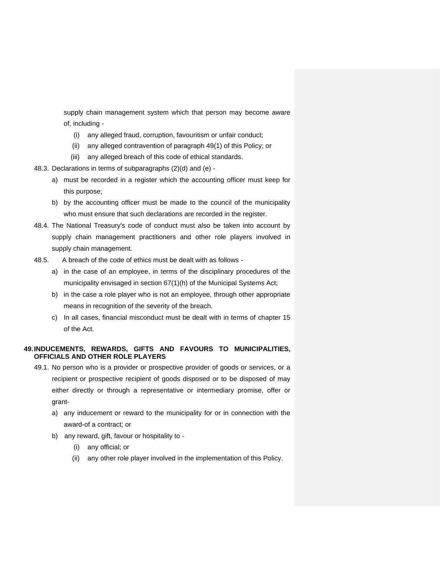supply chain management system which that person may become aware of, including -

- (i) any alleged fraud, corruption, favouritism or unfair conduct;
- (ii) any alleged contravention of paragraph 49(1) of this Policy; or
- (iii) any alleged breach of this code of ethical standards.
- 48.3. Declarations in terms of subparagraphs (2)(d) and (e)
	- a) must be recorded in a register which the accounting officer must keep for this purpose;
	- b) by the accounting officer must be made to the council of the municipality who must ensure that such declarations are recorded in the register.
- 48.4. The National Treasury's code of conduct must also be taken into account by supply chain management practitioners and other role players involved in supply chain management.
- 48.5. A breach of the code of ethics must be dealt with as follows
	- a) in the case of an employee, in terms of the disciplinary procedures of the municipality envisaged in section 67(1)(h) of the Municipal Systems Act;
	- b) in the case a role player who is not an employee, through other appropriate means in recognition of the severity of the breach.
	- c) In all cases, financial misconduct must be dealt with in terms of chapter 15 of the Act.

## <span id="page-56-0"></span>**49.INDUCEMENTS, REWARDS, GIFTS AND FAVOURS TO MUNICIPALITIES, OFFICIALS AND OTHER ROLE PLAYERS**

- 49.1. No person who is a provider or prospective provider of goods or services, or a recipient or prospective recipient of goods disposed or to be disposed of may either directly or through a representative or intermediary promise, offer or grant
	- a) any inducement or reward to the municipality for or in connection with the award-of a contract; or
	- b) any reward, gift, favour or hospitality to
		- (i) any official; or
		- (ii) any other role player involved in the implementation of this Policy.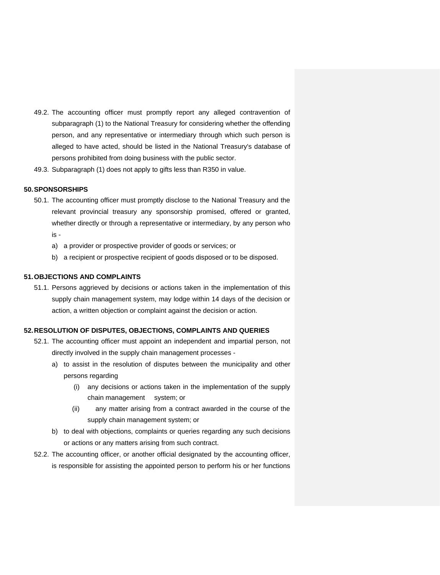- 49.2. The accounting officer must promptly report any alleged contravention of subparagraph (1) to the National Treasury for considering whether the offending person, and any representative or intermediary through which such person is alleged to have acted, should be listed in the National Treasury's database of persons prohibited from doing business with the public sector.
- 49.3. Subparagraph (1) does not apply to gifts less than R350 in value.

#### <span id="page-57-0"></span>**50.SPONSORSHIPS**

- 50.1. The accounting officer must promptly disclose to the National Treasury and the relevant provincial treasury any sponsorship promised, offered or granted, whether directly or through a representative or intermediary, by any person who is
	- a) a provider or prospective provider of goods or services; or
	- b) a recipient or prospective recipient of goods disposed or to be disposed.

## <span id="page-57-1"></span>**51.OBJECTIONS AND COMPLAINTS**

51.1. Persons aggrieved by decisions or actions taken in the implementation of this supply chain management system, may lodge within 14 days of the decision or action, a written objection or complaint against the decision or action.

## <span id="page-57-2"></span>**52.RESOLUTION OF DISPUTES, OBJECTIONS, COMPLAINTS AND QUERIES**

- 52.1. The accounting officer must appoint an independent and impartial person, not directly involved in the supply chain management processes
	- a) to assist in the resolution of disputes between the municipality and other persons regarding
		- (i) any decisions or actions taken in the implementation of the supply chain management system; or
		- (ii) any matter arising from a contract awarded in the course of the supply chain management system; or
	- b) to deal with objections, complaints or queries regarding any such decisions or actions or any matters arising from such contract.
- 52.2. The accounting officer, or another official designated by the accounting officer, is responsible for assisting the appointed person to perform his or her functions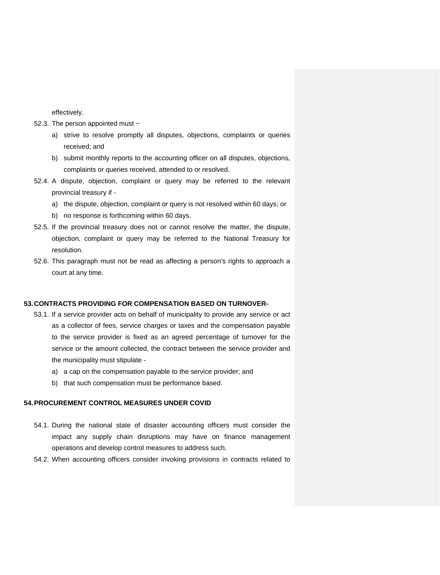effectively.

- 52.3. The person appointed must ~
	- a) strive to resolve promptly all disputes, objections, complaints or queries received; and
	- b) submit monthly reports to the accounting officer on all disputes, objections, complaints or queries received, attended to or resolved.
- 52.4. A dispute, objection, complaint or query may be referred to the relevant provincial treasury if
	- a) the dispute, objection, complaint or query is not resolved within 60 days; or
	- b) no response is forthcoming within 60 days.
- 52.5. If the provincial treasury does not or cannot resolve the matter, the dispute, objection, complaint or query may be referred to the National Treasury for resolution.
- 52.6. This paragraph must not be read as affecting a person's rights to approach a court at any time.

## <span id="page-58-0"></span>**53.CONTRACTS PROVIDING FOR COMPENSATION BASED ON TURNOVER-**

- 53.1. If a service provider acts on behalf of municipality to provide any service or act as a collector of fees, service charges or taxes and the compensation payable to the service provider is fixed as an agreed percentage of turnover for the service or the amount collected, the contract between the service provider and the municipality must stipulate
	- a) a cap on the compensation payable to the service provider; and
	- b) that such compensation must be performance based.

## <span id="page-58-1"></span>**54.PROCUREMENT CONTROL MEASURES UNDER COVID**

- 54.1. During the national state of disaster accounting officers must consider the impact any supply chain disruptions may have on finance management operations and develop control measures to address such.
- 54.2. When accounting officers consider invoking provisions in contracts related to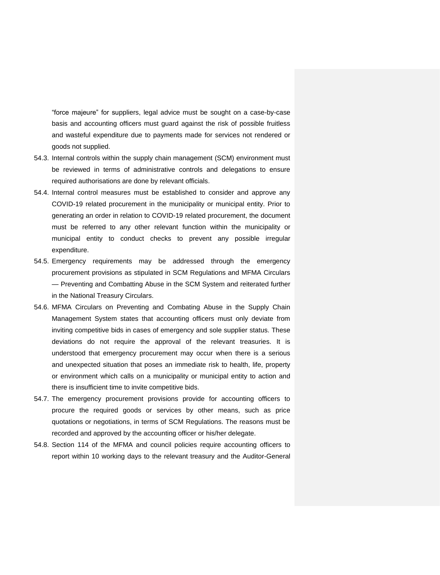"force majeure" for suppliers, legal advice must be sought on a case-by-case basis and accounting officers must guard against the risk of possible fruitless and wasteful expenditure due to payments made for services not rendered or goods not supplied.

- 54.3. Internal controls within the supply chain management (SCM) environment must be reviewed in terms of administrative controls and delegations to ensure required authorisations are done by relevant officials.
- 54.4. Internal control measures must be established to consider and approve any COVID-19 related procurement in the municipality or municipal entity. Prior to generating an order in relation to COVID-19 related procurement, the document must be referred to any other relevant function within the municipality or municipal entity to conduct checks to prevent any possible irregular expenditure.
- 54.5. Emergency requirements may be addressed through the emergency procurement provisions as stipulated in SCM Regulations and MFMA Circulars — Preventing and Combatting Abuse in the SCM System and reiterated further in the National Treasury Circulars.
- 54.6. MFMA Circulars on Preventing and Combating Abuse in the Supply Chain Management System states that accounting officers must only deviate from inviting competitive bids in cases of emergency and sole supplier status. These deviations do not require the approval of the relevant treasuries. It is understood that emergency procurement may occur when there is a serious and unexpected situation that poses an immediate risk to health, life, property or environment which calls on a municipality or municipal entity to action and there is insufficient time to invite competitive bids.
- 54.7. The emergency procurement provisions provide for accounting officers to procure the required goods or services by other means, such as price quotations or negotiations, in terms of SCM Regulations. The reasons must be recorded and approved by the accounting officer or his/her delegate.
- 54.8. Section 114 of the MFMA and council policies require accounting officers to report within 10 working days to the relevant treasury and the Auditor-General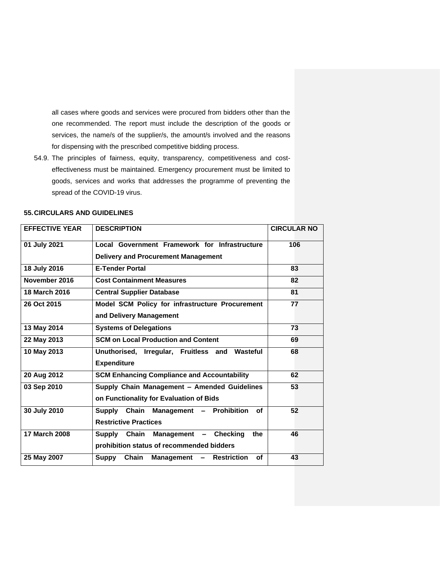all cases where goods and services were procured from bidders other than the one recommended. The report must include the description of the goods or services, the name/s of the supplier/s, the amount/s involved and the reasons for dispensing with the prescribed competitive bidding process.

54.9. The principles of fairness, equity, transparency, competitiveness and costeffectiveness must be maintained. Emergency procurement must be limited to goods, services and works that addresses the programme of preventing the spread of the COVID-19 virus.

| <b>EFFECTIVE YEAR</b> | <b>DESCRIPTION</b>                                                                      | <b>CIRCULAR NO</b> |
|-----------------------|-----------------------------------------------------------------------------------------|--------------------|
| 01 July 2021          | Local Government Framework for Infrastructure                                           | 106                |
|                       | <b>Delivery and Procurement Management</b>                                              |                    |
| 18 July 2016          | <b>E-Tender Portal</b>                                                                  | 83                 |
| November 2016         | <b>Cost Containment Measures</b>                                                        | 82                 |
| <b>18 March 2016</b>  | <b>Central Supplier Database</b>                                                        | 81                 |
| 26 Oct 2015           | Model SCM Policy for infrastructure Procurement<br>and Delivery Management              | 77                 |
| 13 May 2014           | <b>Systems of Delegations</b>                                                           | 73                 |
| 22 May 2013           | <b>SCM on Local Production and Content</b>                                              | 69                 |
| 10 May 2013           | Unuthorised, Irregular, Fruitless and<br>Wasteful<br><b>Expenditure</b>                 | 68                 |
| 20 Aug 2012           | <b>SCM Enhancing Compliance and Accountability</b>                                      | 62                 |
| 03 Sep 2010           | Supply Chain Management - Amended Guidelines<br>on Functionality for Evaluation of Bids | 53                 |
| 30 July 2010          | Supply Chain Management - Prohibition<br>οf<br><b>Restrictive Practices</b>             | 52                 |
| 17 March 2008         | Supply Chain Management - Checking<br>the<br>prohibition status of recommended bidders  | 46                 |
| 25 May 2007           | Chain<br>Management - Restriction<br>οf<br>Suppy                                        | 43                 |

#### <span id="page-60-0"></span>**55.CIRCULARS AND GUIDELINES**